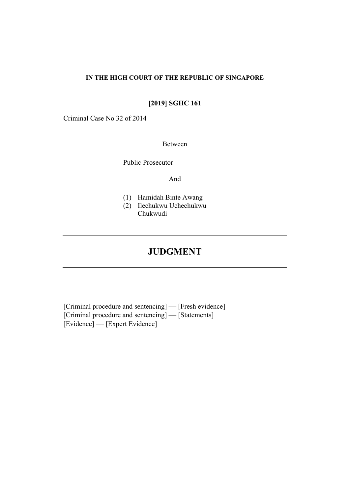## **IN THE HIGH COURT OF THE REPUBLIC OF SINGAPORE**

# **[2019] SGHC 161**

Criminal Case No 32 of 2014

# Between

Public Prosecutor

And

- (1) Hamidah Binte Awang
- (2) Ilechukwu Uchechukwu Chukwudi

# **JUDGMENT**

[Criminal procedure and sentencing] — [Fresh evidence] [Criminal procedure and sentencing] — [Statements] [Evidence] — [Expert Evidence]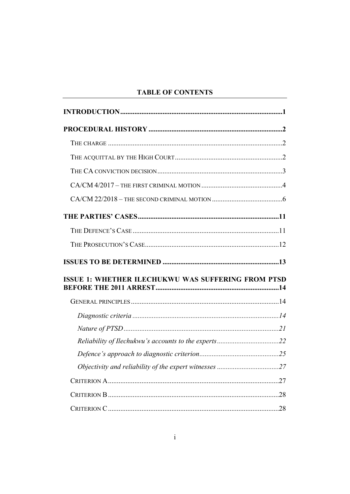# **TABLE OF CONTENTS**

| <b>ISSUE 1: WHETHER ILECHUKWU WAS SUFFERING FROM PTSD</b> |  |
|-----------------------------------------------------------|--|
|                                                           |  |
|                                                           |  |
|                                                           |  |
|                                                           |  |
|                                                           |  |
|                                                           |  |
|                                                           |  |
|                                                           |  |
|                                                           |  |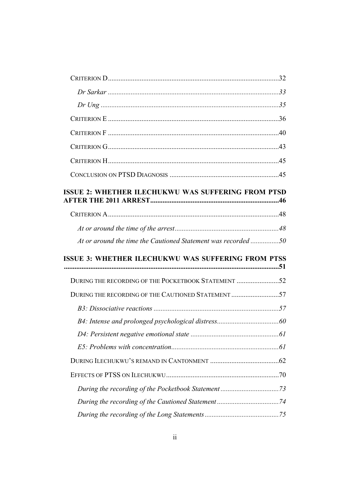| <b>ISSUE 2: WHETHER ILECHUKWU WAS SUFFERING FROM PTSD</b>    |  |
|--------------------------------------------------------------|--|
|                                                              |  |
|                                                              |  |
| At or around the time the Cautioned Statement was recorded50 |  |
|                                                              |  |
| <b>ISSUE 3: WHETHER ILECHUKWU WAS SUFFERING FROM PTSS</b>    |  |
| DURING THE RECORDING OF THE POCKETBOOK STATEMENT 52          |  |
| DURING THE RECORDING OF THE CAUTIONED STATEMENT 57           |  |
|                                                              |  |
|                                                              |  |
|                                                              |  |
|                                                              |  |
|                                                              |  |
|                                                              |  |
|                                                              |  |
|                                                              |  |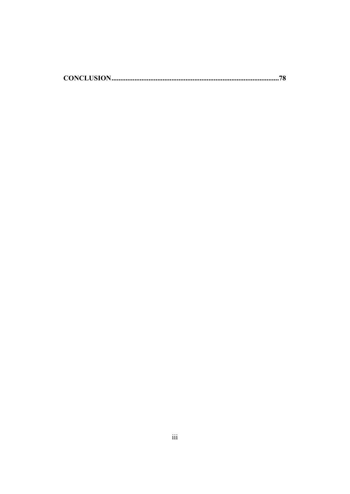|--|--|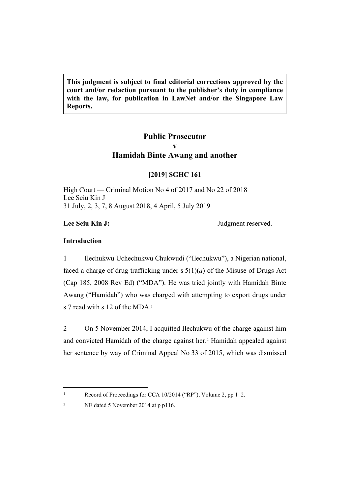**This judgment is subject to final editorial corrections approved by the court and/or redaction pursuant to the publisher's duty in compliance with the law, for publication in LawNet and/or the Singapore Law Reports.**

# **Public Prosecutor v Hamidah Binte Awang and another**

# **[2019] SGHC 161**

High Court — Criminal Motion No 4 of 2017 and No 22 of 2018 Lee Seiu Kin J 31 July, 2, 3, 7, 8 August 2018, 4 April, 5 July 2019

Lee Seiu Kin J: **Judgment reserved.** 

# **Introduction**

1

2

1 Ilechukwu Uchechukwu Chukwudi ("Ilechukwu"), a Nigerian national, faced a charge of drug trafficking under s 5(1)(*a*) of the Misuse of Drugs Act (Cap 185, 2008 Rev Ed) ("MDA"). He was tried jointly with Hamidah Binte Awang ("Hamidah") who was charged with attempting to export drugs under s 7 read with s 12 of the MDA.<sup>1</sup>

2 On 5 November 2014, I acquitted Ilechukwu of the charge against him and convicted Hamidah of the charge against her.<sup>2</sup> Hamidah appealed against her sentence by way of Criminal Appeal No 33 of 2015, which was dismissed

Record of Proceedings for CCA 10/2014 ("RP"), Volume 2, pp 1–2.

NE dated 5 November 2014 at p p116.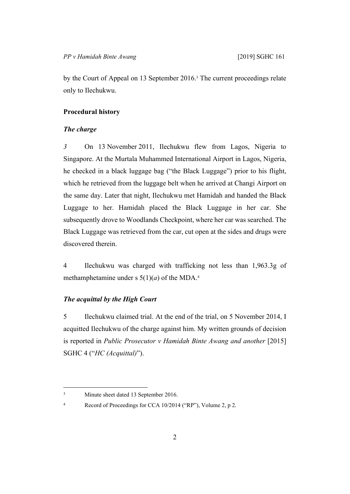by the Court of Appeal on 13 September 2016.<sup>3</sup> The current proceedings relate only to Ilechukwu.

# **Procedural history**

# *The charge*

*3* On 13 November 2011, Ilechukwu flew from Lagos, Nigeria to Singapore. At the Murtala Muhammed International Airport in Lagos, Nigeria, he checked in a black luggage bag ("the Black Luggage") prior to his flight, which he retrieved from the luggage belt when he arrived at Changi Airport on the same day. Later that night, Ilechukwu met Hamidah and handed the Black Luggage to her. Hamidah placed the Black Luggage in her car. She subsequently drove to Woodlands Checkpoint, where her car was searched. The Black Luggage was retrieved from the car, cut open at the sides and drugs were discovered therein.

4 Ilechukwu was charged with trafficking not less than 1,963.3g of methamphetamine under s  $5(1)(a)$  of the MDA.<sup>4</sup>

# *The acquittal by the High Court*

5 Ilechukwu claimed trial. At the end of the trial, on 5 November 2014, I acquitted Ilechukwu of the charge against him. My written grounds of decision is reported in *Public Prosecutor v Hamidah Binte Awang and another* [2015] SGHC 4 ("*HC (Acquittal)*").

<sup>3</sup> Minute sheet dated 13 September 2016.

<sup>4</sup> Record of Proceedings for CCA 10/2014 ("RP"), Volume 2, p 2.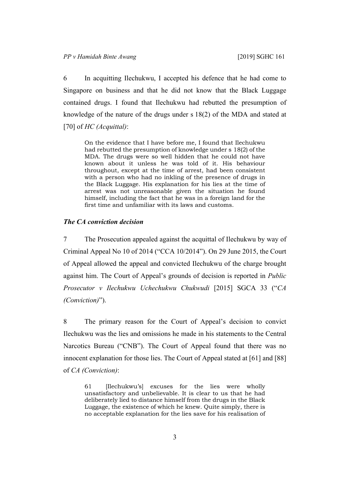6 In acquitting Ilechukwu, I accepted his defence that he had come to Singapore on business and that he did not know that the Black Luggage contained drugs. I found that Ilechukwu had rebutted the presumption of knowledge of the nature of the drugs under s 18(2) of the MDA and stated at [70] of *HC (Acquittal)*:

On the evidence that I have before me, I found that Ilechukwu had rebutted the presumption of knowledge under s 18(2) of the MDA. The drugs were so well hidden that he could not have known about it unless he was told of it. His behaviour throughout, except at the time of arrest, had been consistent with a person who had no inkling of the presence of drugs in the Black Luggage. His explanation for his lies at the time of arrest was not unreasonable given the situation he found himself, including the fact that he was in a foreign land for the first time and unfamiliar with its laws and customs.

## *The CA conviction decision*

7 The Prosecution appealed against the acquittal of Ilechukwu by way of Criminal Appeal No 10 of 2014 ("CCA 10/2014"). On 29 June 2015, the Court of Appeal allowed the appeal and convicted Ilechukwu of the charge brought against him. The Court of Appeal's grounds of decision is reported in *Public Prosecutor v Ilechukwu Uchechukwu Chukwudi* [2015] SGCA 33 ("*CA (Conviction)*").

8 The primary reason for the Court of Appeal's decision to convict Ilechukwu was the lies and omissions he made in his statements to the Central Narcotics Bureau ("CNB"). The Court of Appeal found that there was no innocent explanation for those lies. The Court of Appeal stated at [61] and [88] of *CA (Conviction)*:

61 [Ilechukwu's] excuses for the lies were wholly unsatisfactory and unbelievable. It is clear to us that he had deliberately lied to distance himself from the drugs in the Black Luggage, the existence of which he knew. Quite simply, there is no acceptable explanation for the lies save for his realisation of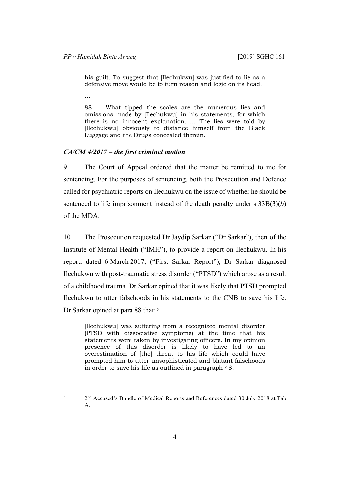his guilt. To suggest that [Ilechukwu] was justified to lie as a defensive move would be to turn reason and logic on its head.

…

5

88 What tipped the scales are the numerous lies and omissions made by [Ilechukwu] in his statements, for which there is no innocent explanation. … The lies were told by [Ilechukwu] obviously to distance himself from the Black Luggage and the Drugs concealed therein.

# *CA/CM 4/2017 – the first criminal motion*

9 The Court of Appeal ordered that the matter be remitted to me for sentencing. For the purposes of sentencing, both the Prosecution and Defence called for psychiatric reports on Ilechukwu on the issue of whether he should be sentenced to life imprisonment instead of the death penalty under s 33B(3)(*b*) of the MDA.

10 The Prosecution requested Dr Jaydip Sarkar ("Dr Sarkar"), then of the Institute of Mental Health ("IMH"), to provide a report on Ilechukwu. In his report, dated 6 March 2017, ("First Sarkar Report"), Dr Sarkar diagnosed Ilechukwu with post-traumatic stress disorder ("PTSD") which arose as a result of a childhood trauma. Dr Sarkar opined that it was likely that PTSD prompted Ilechukwu to utter falsehoods in his statements to the CNB to save his life. Dr Sarkar opined at para 88 that:<sup>5</sup>

[Ilechukwu] was suffering from a recognized mental disorder (PTSD with dissociative symptoms) at the time that his statements were taken by investigating officers. In my opinion presence of this disorder is likely to have led to an overestimation of [the] threat to his life which could have prompted him to utter unsophisticated and blatant falsehoods in order to save his life as outlined in paragraph 48.

 <sup>2</sup>nd Accused's Bundle of Medical Reports and References dated 30 July 2018 at Tab A.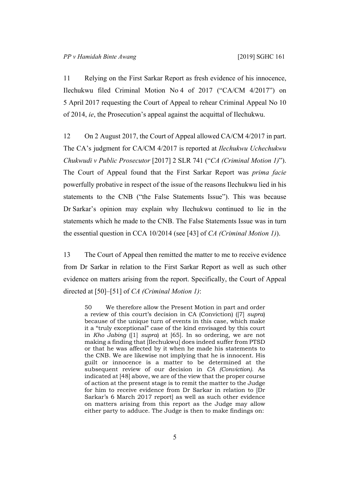11 Relying on the First Sarkar Report as fresh evidence of his innocence, Ilechukwu filed Criminal Motion No 4 of 2017 ("CA/CM 4/2017") on 5 April 2017 requesting the Court of Appeal to rehear Criminal Appeal No 10 of 2014, *ie*, the Prosecution's appeal against the acquittal of Ilechukwu.

12 On 2 August 2017, the Court of Appeal allowed CA/CM 4/2017 in part. The CA's judgment for CA/CM 4/2017 is reported at *Ilechukwu Uchechukwu Chukwudi v Public Prosecutor* [2017] 2 SLR 741 ("*CA (Criminal Motion 1)*"). The Court of Appeal found that the First Sarkar Report was *prima facie* powerfully probative in respect of the issue of the reasons Ilechukwu lied in his statements to the CNB ("the False Statements Issue"). This was because Dr Sarkar's opinion may explain why Ilechukwu continued to lie in the statements which he made to the CNB. The False Statements Issue was in turn the essential question in CCA 10/2014 (see [43] of *CA (Criminal Motion 1)*).

13 The Court of Appeal then remitted the matter to me to receive evidence from Dr Sarkar in relation to the First Sarkar Report as well as such other evidence on matters arising from the report. Specifically, the Court of Appeal directed at [50]–[51] of *CA (Criminal Motion 1)*:

50 We therefore allow the Present Motion in part and order a review of this court's decision in CA (Conviction) ([7] *supra*) because of the unique turn of events in this case, which make it a "truly exceptional" case of the kind envisaged by this court in *Kho Jabing* ([1] *supra*) at [65]. In so ordering, we are not making a finding that [Ilechukwu] does indeed suffer from PTSD or that he was affected by it when he made his statements to the CNB. We are likewise not implying that he is innocent. His guilt or innocence is a matter to be determined at the subsequent review of our decision in *CA (Conviction)*. As indicated at [48] above, we are of the view that the proper course of action at the present stage is to remit the matter to the Judge for him to receive evidence from Dr Sarkar in relation to [Dr Sarkar's 6 March 2017 report] as well as such other evidence on matters arising from this report as the Judge may allow either party to adduce. The Judge is then to make findings on: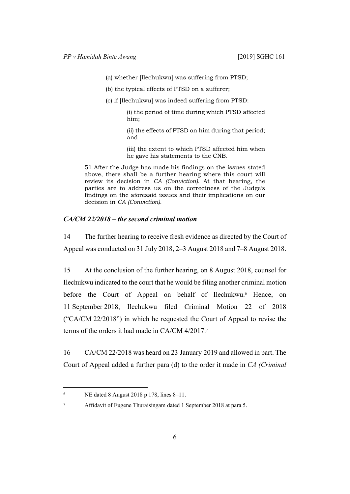(a) whether [Ilechukwu] was suffering from PTSD;

(b) the typical effects of PTSD on a sufferer;

(c) if [Ilechukwu] was indeed suffering from PTSD:

(i) the period of time during which PTSD affected him;

(ii) the effects of PTSD on him during that period; and

(iii) the extent to which PTSD affected him when he gave his statements to the CNB.

51 After the Judge has made his findings on the issues stated above, there shall be a further hearing where this court will review its decision in *CA (Conviction)*. At that hearing, the parties are to address us on the correctness of the Judge's findings on the aforesaid issues and their implications on our decision in *CA (Conviction)*.

### *CA/CM 22/2018 – the second criminal motion*

14 The further hearing to receive fresh evidence as directed by the Court of Appeal was conducted on 31 July 2018, 2–3 August 2018 and 7–8 August 2018.

15 At the conclusion of the further hearing, on 8 August 2018, counsel for Ilechukwu indicated to the court that he would be filing another criminal motion before the Court of Appeal on behalf of Ilechukwu.<sup>6</sup> Hence, on 11 September 2018, Ilechukwu filed Criminal Motion 22 of 2018 ("CA/CM 22/2018") in which he requested the Court of Appeal to revise the terms of the orders it had made in CA/CM 4/2017.<sup>7</sup>

16 CA/CM 22/2018 was heard on 23 January 2019 and allowed in part. The Court of Appeal added a further para (d) to the order it made in *CA (Criminal* 

6

7

NE dated 8 August 2018 p 178, lines 8–11.

Affidavit of Eugene Thuraisingam dated 1 September 2018 at para 5.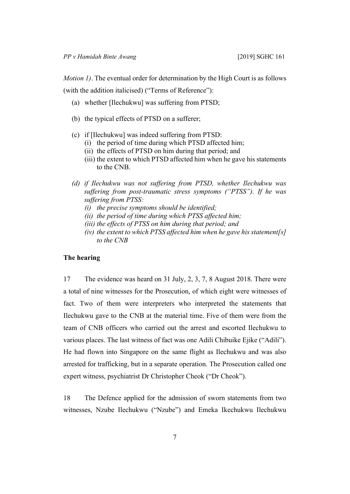*Motion 1)*. The eventual order for determination by the High Court is as follows (with the addition italicised) ("Terms of Reference"):

- (a) whether [Ilechukwu] was suffering from PTSD;
- (b) the typical effects of PTSD on a sufferer;
- (c) if [Ilechukwu] was indeed suffering from PTSD:
	- (i) the period of time during which PTSD affected him;
	- (ii) the effects of PTSD on him during that period; and
	- (iii) the extent to which PTSD affected him when he gave his statements to the CNB.
- *(d) if Ilechukwu was not suffering from PTSD, whether Ilechukwu was suffering from post-traumatic stress symptoms ("PTSS"). If he was suffering from PTSS:*
	- *(i) the precise symptoms should be identified;*
	- *(ii) the period of time during which PTSS affected him;*
	- *(iii) the effects of PTSS on him during that period; and*
	- *(iv) the extent to which PTSS affected him when he gave his statement[s] to the CNB*

#### **The hearing**

17 The evidence was heard on 31 July, 2, 3, 7, 8 August 2018. There were a total of nine witnesses for the Prosecution, of which eight were witnesses of fact. Two of them were interpreters who interpreted the statements that Ilechukwu gave to the CNB at the material time. Five of them were from the team of CNB officers who carried out the arrest and escorted Ilechukwu to various places. The last witness of fact was one Adili Chibuike Ejike ("Adili"). He had flown into Singapore on the same flight as Ilechukwu and was also arrested for trafficking, but in a separate operation. The Prosecution called one expert witness, psychiatrist Dr Christopher Cheok ("Dr Cheok").

18 The Defence applied for the admission of sworn statements from two witnesses, Nzube Ilechukwu ("Nzube") and Emeka Ikechukwu Ilechukwu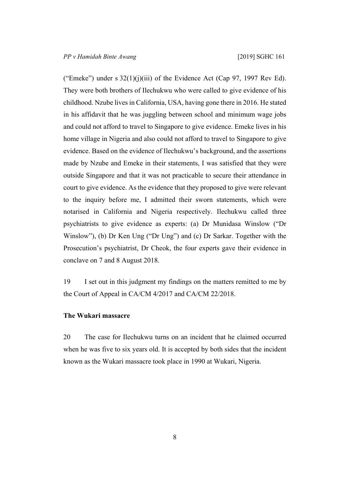("Emeke") under s  $32(1)(j)(iii)$  of the Evidence Act (Cap 97, 1997 Rev Ed). They were both brothers of Ilechukwu who were called to give evidence of his childhood. Nzube lives in California, USA, having gone there in 2016. He stated in his affidavit that he was juggling between school and minimum wage jobs and could not afford to travel to Singapore to give evidence. Emeke lives in his home village in Nigeria and also could not afford to travel to Singapore to give evidence. Based on the evidence of Ilechukwu's background, and the assertions made by Nzube and Emeke in their statements, I was satisfied that they were outside Singapore and that it was not practicable to secure their attendance in court to give evidence. As the evidence that they proposed to give were relevant to the inquiry before me, I admitted their sworn statements, which were notarised in California and Nigeria respectively. Ilechukwu called three psychiatrists to give evidence as experts: (a) Dr Munidasa Winslow ("Dr Winslow"), (b) Dr Ken Ung ("Dr Ung") and (c) Dr Sarkar. Together with the Prosecution's psychiatrist, Dr Cheok, the four experts gave their evidence in conclave on 7 and 8 August 2018.

19 I set out in this judgment my findings on the matters remitted to me by the Court of Appeal in CA/CM 4/2017 and CA/CM 22/2018.

## **The Wukari massacre**

20 The case for Ilechukwu turns on an incident that he claimed occurred when he was five to six years old. It is accepted by both sides that the incident known as the Wukari massacre took place in 1990 at Wukari, Nigeria.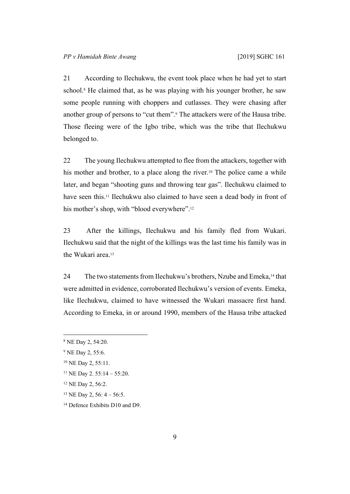21 According to Ilechukwu, the event took place when he had yet to start school.<sup>8</sup> He claimed that, as he was playing with his younger brother, he saw some people running with choppers and cutlasses. They were chasing after another group of persons to "cut them".<sup>9</sup> The attackers were of the Hausa tribe. Those fleeing were of the Igbo tribe, which was the tribe that Ilechukwu belonged to.

22 The young Ilechukwu attempted to flee from the attackers, together with his mother and brother, to a place along the river.<sup>10</sup> The police came a while later, and began "shooting guns and throwing tear gas". Ilechukwu claimed to have seen this.11 Ilechukwu also claimed to have seen a dead body in front of his mother's shop, with "blood everywhere".<sup>12</sup>

23 After the killings, Ilechukwu and his family fled from Wukari. Ilechukwu said that the night of the killings was the last time his family was in the Wukari area.<sup>13</sup>

24 The two statements from Ilechukwu's brothers, Nzube and Emeka,<sup>14</sup> that were admitted in evidence, corroborated Ilechukwu's version of events. Emeka, like Ilechukwu, claimed to have witnessed the Wukari massacre first hand. According to Emeka, in or around 1990, members of the Hausa tribe attacked

<sup>8</sup> NE Day 2, 54:20.

<sup>&</sup>lt;sup>9</sup> NE Day 2, 55:6.

<sup>10</sup> NE Day 2, 55:11.

 $11$  NE Day 2. 55:14 – 55:20.

<sup>12</sup> NE Day 2, 56:2.

<sup>13</sup> NE Day 2, 56: 4 – 56:5.

<sup>&</sup>lt;sup>14</sup> Defence Exhibits D10 and D9.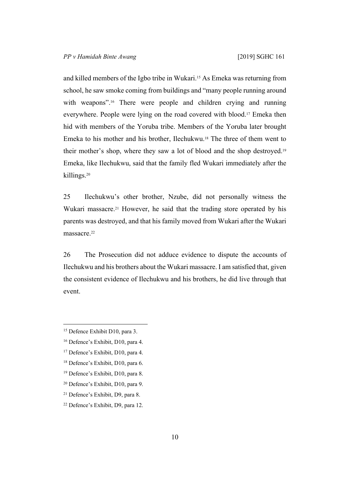and killed members of the Igbo tribe in Wukari.15 As Emeka was returning from school, he saw smoke coming from buildings and "many people running around with weapons".<sup>16</sup> There were people and children crying and running everywhere. People were lying on the road covered with blood.17 Emeka then hid with members of the Yoruba tribe. Members of the Yoruba later brought Emeka to his mother and his brother, Ilechukwu.18 The three of them went to their mother's shop, where they saw a lot of blood and the shop destroyed.<sup>19</sup> Emeka, like Ilechukwu, said that the family fled Wukari immediately after the killings.<sup>20</sup>

25 Ilechukwu's other brother, Nzube, did not personally witness the Wukari massacre.<sup>21</sup> However, he said that the trading store operated by his parents was destroyed, and that his family moved from Wukari after the Wukari massacre.<sup>22</sup>

26 The Prosecution did not adduce evidence to dispute the accounts of Ilechukwu and his brothers about the Wukari massacre. I am satisfied that, given the consistent evidence of Ilechukwu and his brothers, he did live through that event.

<sup>&</sup>lt;sup>15</sup> Defence Exhibit D10, para 3.

<sup>16</sup> Defence's Exhibit, D10, para 4.

<sup>&</sup>lt;sup>17</sup> Defence's Exhibit, D10, para 4.

<sup>18</sup> Defence's Exhibit, D10, para 6.

<sup>19</sup> Defence's Exhibit, D10, para 8.

<sup>20</sup> Defence's Exhibit, D10, para 9.

<sup>21</sup> Defence's Exhibit, D9, para 8.

<sup>22</sup> Defence's Exhibit, D9, para 12.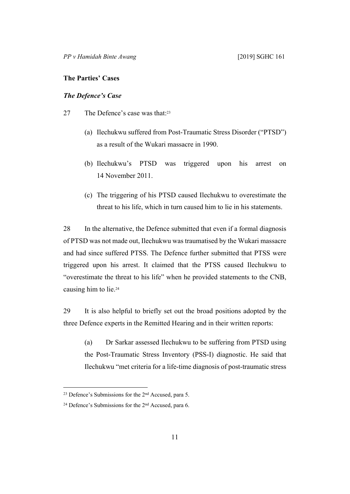## **The Parties' Cases**

# *The Defence's Case*

- 27 The Defence's case was that:<sup>23</sup>
	- (a) Ilechukwu suffered from Post-Traumatic Stress Disorder ("PTSD") as a result of the Wukari massacre in 1990.
	- (b) Ilechukwu's PTSD was triggered upon his arrest on 14 November 2011.
	- (c) The triggering of his PTSD caused Ilechukwu to overestimate the threat to his life, which in turn caused him to lie in his statements.

28 In the alternative, the Defence submitted that even if a formal diagnosis of PTSD was not made out, Ilechukwu was traumatised by the Wukari massacre and had since suffered PTSS. The Defence further submitted that PTSS were triggered upon his arrest. It claimed that the PTSS caused Ilechukwu to "overestimate the threat to his life" when he provided statements to the CNB, causing him to lie.<sup>24</sup>

29 It is also helpful to briefly set out the broad positions adopted by the three Defence experts in the Remitted Hearing and in their written reports:

(a) Dr Sarkar assessed Ilechukwu to be suffering from PTSD using the Post-Traumatic Stress Inventory (PSS-I) diagnostic. He said that Ilechukwu "met criteria for a life-time diagnosis of post-traumatic stress

<sup>23</sup> Defence's Submissions for the 2nd Accused, para 5.

<sup>24</sup> Defence's Submissions for the 2nd Accused, para 6.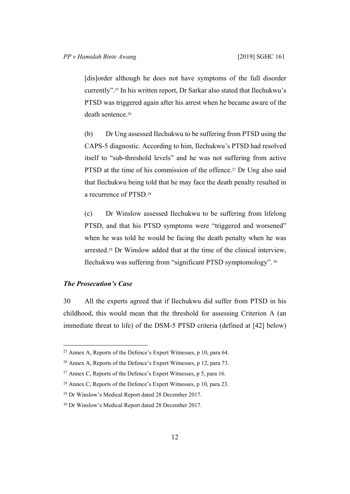[dis]order although he does not have symptoms of the full disorder currently".25 In his written report, Dr Sarkar also stated that Ilechukwu's PTSD was triggered again after his arrest when he became aware of the death sentence.<sup>26</sup>

(b) Dr Ung assessed Ilechukwu to be suffering from PTSD using the CAPS-5 diagnostic. According to him, Ilechukwu's PTSD had resolved itself to "sub-threshold levels" and he was not suffering from active PTSD at the time of his commission of the offence.<sup>27</sup> Dr Ung also said that Ilechukwu being told that he may face the death penalty resulted in a recurrence of PTSD.<sup>28</sup>

(c) Dr Winslow assessed Ilechukwu to be suffering from lifelong PTSD, and that his PTSD symptoms were "triggered and worsened" when he was told he would be facing the death penalty when he was arrested.29 Dr Winslow added that at the time of the clinical interview, Ilechukwu was suffering from "significant PTSD symptomology".<sup>30</sup>

# *The Prosecution's Case*

30 All the experts agreed that if Ilechukwu did suffer from PTSD in his childhood, this would mean that the threshold for assessing Criterion A (an immediate threat to life) of the DSM-5 PTSD criteria (defined at [42] below)

<sup>25</sup> Annex A, Reports of the Defence's Expert Witnesses, p 10, para 64.

<sup>26</sup> Annex A, Reports of the Defence's Expert Witnesses, p 12, para 73.

<sup>&</sup>lt;sup>27</sup> Annex C, Reports of the Defence's Expert Witnesses, p 5, para 16.

<sup>28</sup> Annex C, Reports of the Defence's Expert Witnesses, p 10, para 23.

<sup>29</sup> Dr Winslow's Medical Report dated 28 December 2017.

<sup>30</sup> Dr Winslow's Medical Report dated 28 December 2017.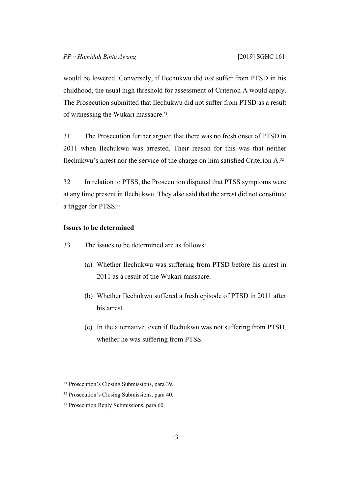would be lowered. Conversely, if Ilechukwu did *not* suffer from PTSD in his childhood, the usual high threshold for assessment of Criterion A would apply. The Prosecution submitted that Ilechukwu did not suffer from PTSD as a result of witnessing the Wukari massacre.<sup>31</sup>

31 The Prosecution further argued that there was no fresh onset of PTSD in 2011 when Ilechukwu was arrested. Their reason for this was that neither Ilechukwu's arrest nor the service of the charge on him satisfied Criterion A.<sup>32</sup>

32 In relation to PTSS, the Prosecution disputed that PTSS symptoms were at any time present in Ilechukwu. They also said that the arrest did not constitute a trigger for PTSS.<sup>33</sup>

# **Issues to be determined**

33 The issues to be determined are as follows:

- (a) Whether Ilechukwu was suffering from PTSD before his arrest in 2011 as a result of the Wukari massacre.
- (b) Whether Ilechukwu suffered a fresh episode of PTSD in 2011 after his arrest.
- (c) In the alternative, even if Ilechukwu was not suffering from PTSD, whether he was suffering from PTSS.

<sup>&</sup>lt;sup>31</sup> Prosecution's Closing Submissions, para 39.

<sup>32</sup> Prosecution's Closing Submissions, para 40.

<sup>&</sup>lt;sup>33</sup> Prosecution Reply Submissions, para 60.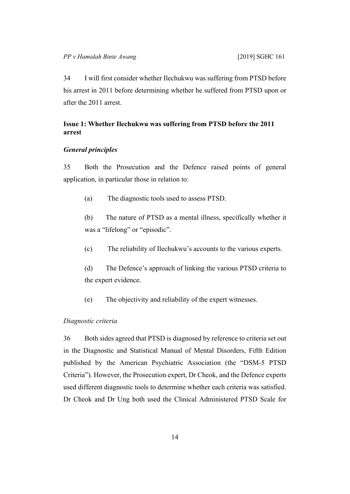34 I will first consider whether Ilechukwu was suffering from PTSD before his arrest in 2011 before determining whether he suffered from PTSD upon or after the 2011 arrest.

# **Issue 1: Whether Ilechukwu was suffering from PTSD before the 2011 arrest**

#### *General principles*

35 Both the Prosecution and the Defence raised points of general application, in particular those in relation to:

(a) The diagnostic tools used to assess PTSD.

(b) The nature of PTSD as a mental illness, specifically whether it was a "lifelong" or "episodic".

(c) The reliability of Ilechukwu's accounts to the various experts.

(d) The Defence's approach of linking the various PTSD criteria to the expert evidence.

(e) The objectivity and reliability of the expert witnesses.

# *Diagnostic criteria*

36 Both sides agreed that PTSD is diagnosed by reference to criteria set out in the Diagnostic and Statistical Manual of Mental Disorders, Fifth Edition published by the American Psychiatric Association (the "DSM-5 PTSD Criteria"). However, the Prosecution expert, Dr Cheok, and the Defence experts used different diagnostic tools to determine whether each criteria was satisfied. Dr Cheok and Dr Ung both used the Clinical Administered PTSD Scale for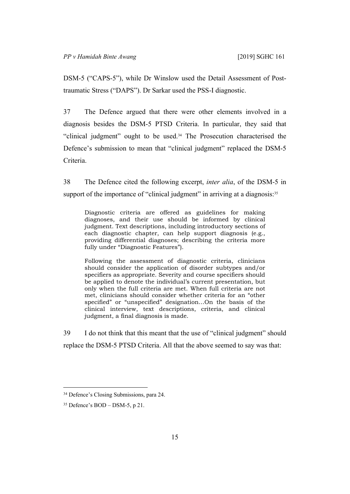DSM-5 ("CAPS-5"), while Dr Winslow used the Detail Assessment of Posttraumatic Stress ("DAPS"). Dr Sarkar used the PSS-I diagnostic.

37 The Defence argued that there were other elements involved in a diagnosis besides the DSM-5 PTSD Criteria. In particular, they said that "clinical judgment" ought to be used.34 The Prosecution characterised the Defence's submission to mean that "clinical judgment" replaced the DSM-5 Criteria.

38 The Defence cited the following excerpt, *inter alia*, of the DSM-5 in support of the importance of "clinical judgment" in arriving at a diagnosis:<sup>35</sup>

Diagnostic criteria are offered as guidelines for making diagnoses, and their use should be informed by clinical judgment. Text descriptions, including introductory sections of each diagnostic chapter, can help support diagnosis (e.g., providing differential diagnoses; describing the criteria more fully under "Diagnostic Features").

Following the assessment of diagnostic criteria, clinicians should consider the application of disorder subtypes and/or specifiers as appropriate. Severity and course specifiers should be applied to denote the individual's current presentation, but only when the full criteria are met. When full criteria are not met, clinicians should consider whether criteria for an "other specified" or "unspecified" designation…On the basis of the clinical interview, text descriptions, criteria, and clinical judgment, a final diagnosis is made.

39 I do not think that this meant that the use of "clinical judgment" should replace the DSM-5 PTSD Criteria. All that the above seemed to say was that:

<sup>&</sup>lt;sup>34</sup> Defence's Closing Submissions, para 24.

 $35$  Defence's BOD – DSM-5, p 21.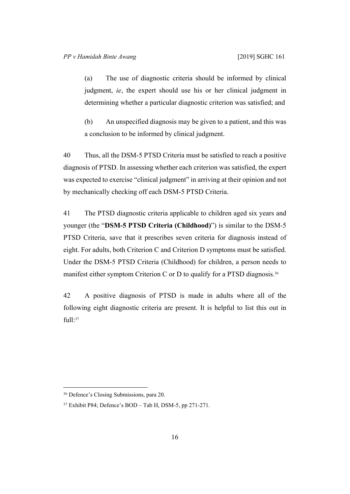(a) The use of diagnostic criteria should be informed by clinical judgment, *ie*, the expert should use his or her clinical judgment in determining whether a particular diagnostic criterion was satisfied; and

(b) An unspecified diagnosis may be given to a patient, and this was a conclusion to be informed by clinical judgment.

40 Thus, all the DSM-5 PTSD Criteria must be satisfied to reach a positive diagnosis of PTSD. In assessing whether each criterion was satisfied, the expert was expected to exercise "clinical judgment" in arriving at their opinion and not by mechanically checking off each DSM-5 PTSD Criteria.

41 The PTSD diagnostic criteria applicable to children aged six years and younger (the "**DSM-5 PTSD Criteria (Childhood)**") is similar to the DSM-5 PTSD Criteria, save that it prescribes seven criteria for diagnosis instead of eight. For adults, both Criterion C and Criterion D symptoms must be satisfied. Under the DSM-5 PTSD Criteria (Childhood) for children, a person needs to manifest either symptom Criterion C or D to qualify for a PTSD diagnosis.<sup>36</sup>

42 A positive diagnosis of PTSD is made in adults where all of the following eight diagnostic criteria are present. It is helpful to list this out in full:<sup>37</sup>

<sup>36</sup> Defence's Closing Submissions, para 20.

<sup>37</sup> Exhibit P84; Defence's BOD – Tab H, DSM-5, pp 271-271.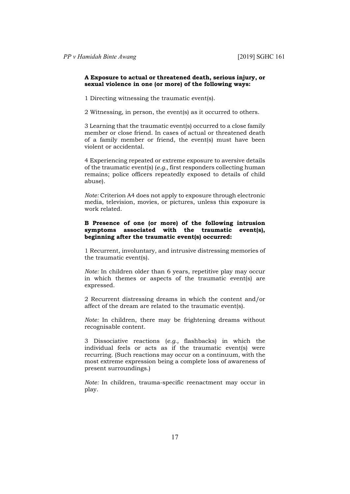#### **A Exposure to actual or threatened death, serious injury, or sexual violence in one (or more) of the following ways:**

1 Directing witnessing the traumatic event(s).

2 Witnessing, in person, the event(s) as it occurred to others.

3 Learning that the traumatic event(s) occurred to a close family member or close friend. In cases of actual or threatened death of a family member or friend, the event(s) must have been violent or accidental.

4 Experiencing repeated or extreme exposure to aversive details of the traumatic event(s) (*e.g.,* first responders collecting human remains; police officers repeatedly exposed to details of child abuse).

*Note:* Criterion A4 does not apply to exposure through electronic media, television, movies, or pictures, unless this exposure is work related.

### **B Presence of one (or more) of the following intrusion symptoms associated with the traumatic event(s), beginning after the traumatic event(s) occurred:**

1 Recurrent, involuntary, and intrusive distressing memories of the traumatic event(s).

*Note:* In children older than 6 years, repetitive play may occur in which themes or aspects of the traumatic event(s) are expressed.

2 Recurrent distressing dreams in which the content and/or affect of the dream are related to the traumatic event(s).

*Note:* In children, there may be frightening dreams without recognisable content.

3 Dissociative reactions (*e.g.,* flashbacks) in which the individual feels or acts as if the traumatic event(s) were recurring. (Such reactions may occur on a continuum, with the most extreme expression being a complete loss of awareness of present surroundings.)

*Note:* In children, trauma-specific reenactment may occur in play.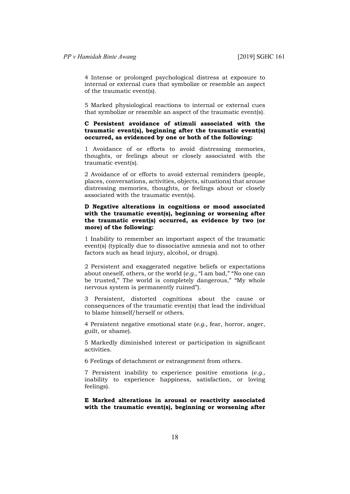4 Intense or prolonged psychological distress at exposure to internal or external cues that symbolize or resemble an aspect of the traumatic event(s).

5 Marked physiological reactions to internal or external cues that symbolize or resemble an aspect of the traumatic event(s).

#### **C Persistent avoidance of stimuli associated with the traumatic event(s), beginning after the traumatic event(s) occurred, as evidenced by one or both of the following:**

1 Avoidance of or efforts to avoid distressing memories, thoughts, or feelings about or closely associated with the traumatic event(s).

2 Avoidance of or efforts to avoid external reminders (people, places, conversations, activities, objects, situations) that arouse distressing memories, thoughts, or feelings about or closely associated with the traumatic event(s).

#### **D Negative alterations in cognitions or mood associated with the traumatic event(s), beginning or worsening after the traumatic event(s) occurred, as evidence by two (or more) of the following:**

1 Inability to remember an important aspect of the traumatic event(s) (typically due to dissociative amnesia and not to other factors such as head injury, alcohol, or drugs).

2 Persistent and exaggerated negative beliefs or expectations about oneself, others, or the world (*e.g.,* "I am bad," "No one can be trusted," The world is completely dangerous," "My whole nervous system is permanently ruined").

3 Persistent, distorted cognitions about the cause or consequences of the traumatic event(s) that lead the individual to blame himself/herself or others.

4 Persistent negative emotional state (*e.g.,* fear, horror, anger, guilt, or shame).

5 Markedly diminished interest or participation in significant activities.

6 Feelings of detachment or estrangement from others.

7 Persistent inability to experience positive emotions (*e.g.,*  inability to experience happiness, satisfaction, or loving feelings).

**E Marked alterations in arousal or reactivity associated with the traumatic event(s), beginning or worsening after**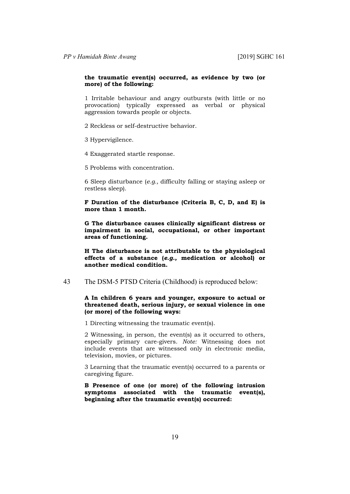#### **the traumatic event(s) occurred, as evidence by two (or more) of the following:**

1 Irritable behaviour and angry outbursts (with little or no provocation) typically expressed as verbal or physical aggression towards people or objects.

2 Reckless or self-destructive behavior.

3 Hypervigilence.

4 Exaggerated startle response.

5 Problems with concentration.

6 Sleep disturbance (*e.g.,* difficulty falling or staying asleep or restless sleep).

**F Duration of the disturbance (Criteria B, C, D, and E) is more than 1 month.**

**G The disturbance causes clinically significant distress or impairment in social, occupational, or other important areas of functioning.**

**H The disturbance is not attributable to the physiological effects of a substance (***e.g.,* **medication or alcohol) or another medical condition.**

#### 43 The DSM-5 PTSD Criteria (Childhood) is reproduced below:

#### **A In children 6 years and younger, exposure to actual or threatened death, serious injury, or sexual violence in one (or more) of the following ways:**

1 Directing witnessing the traumatic event(s).

2 Witnessing, in person, the event(s) as it occurred to others, especially primary care-givers. *Note:* Witnessing does not include events that are witnessed only in electronic media, television, movies, or pictures.

3 Learning that the traumatic event(s) occurred to a parents or caregiving figure.

**B Presence of one (or more) of the following intrusion symptoms associated with the traumatic event(s), beginning after the traumatic event(s) occurred:**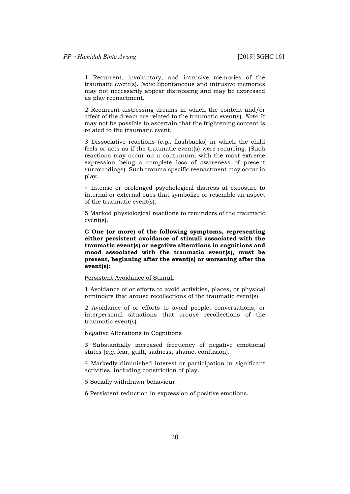1 Recurrent, involuntary, and intrusive memories of the traumatic event(s). *Note:* Spontaneous and intrusive memories may not necessarily appear distressing and may be expressed as play reenactment.

2 Recurrent distressing dreams in which the content and/or affect of the dream are related to the traumatic event(s). *Note:* It may not be possible to ascertain that the frightening content is related to the traumatic event.

3 Dissociative reactions (*e.g.,* flashbacks) in which the child feels or acts as if the traumatic event(s) were recurring. (Such reactions may occur on a continuum, with the most extreme expression being a complete loss of awareness of present surroundings). Such trauma specific reenactment may occur in play.

4 Intense or prolonged psychological distress at exposure to internal or external cues that symbolize or resemble an aspect of the traumatic event(s).

5 Marked physiological reactions to reminders of the traumatic event(s).

**C One (or more) of the following symptoms, representing either persistent avoidance of stimuli associated with the traumatic event(s) or negative alterations in cognitions and mood associated with the traumatic event(s), must be present, beginning after the event(s) or worsening after the event(s):**

#### Persistent Avoidance of Stimuli

1 Avoidance of or efforts to avoid activities, places, or physical reminders that arouse recollections of the traumatic event(s).

2 Avoidance of or efforts to avoid people, conversations, or interpersonal situations that arouse recollections of the traumatic event(s).

Negative Alterations in Cognitions

3 Substantially increased frequency of negative emotional states (*e.g,* fear, guilt, sadness, shame, confusion).

4 Markedly diminished interest or participation in significant activities, including constriction of play.

5 Socially withdrawn behaviour.

6 Persistent reduction in expression of positive emotions.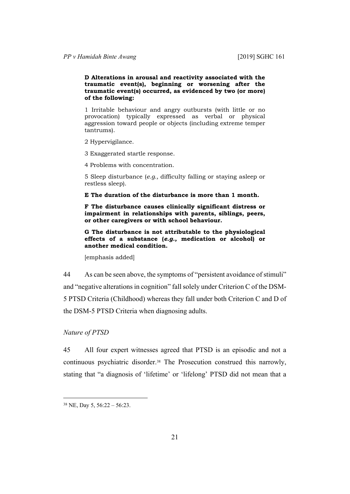**D Alterations in arousal and reactivity associated with the traumatic event(s), beginning or worsening after the traumatic event(s) occurred, as evidenced by two (or more) of the following:**

1 Irritable behaviour and angry outbursts (with little or no provocation) typically expressed as verbal or physical aggression toward people or objects (including extreme temper tantrums).

2 Hypervigilance.

3 Exaggerated startle response.

4 Problems with concentration.

5 Sleep disturbance (*e.g.,* difficulty falling or staying asleep or restless sleep).

**E The duration of the disturbance is more than 1 month.**

**F The disturbance causes clinically significant distress or impairment in relationships with parents, siblings, peers, or other caregivers or with school behaviour.**

**G The disturbance is not attributable to the physiological effects of a substance (***e.g.,* **medication or alcohol) or another medical condition.**

[emphasis added]

44 As can be seen above, the symptoms of "persistent avoidance of stimuli" and "negative alterations in cognition" fall solely under Criterion C of the DSM-5 PTSD Criteria (Childhood) whereas they fall under both Criterion C and D of the DSM-5 PTSD Criteria when diagnosing adults.

## *Nature of PTSD*

45 All four expert witnesses agreed that PTSD is an episodic and not a continuous psychiatric disorder.38 The Prosecution construed this narrowly, stating that "a diagnosis of 'lifetime' or 'lifelong' PTSD did not mean that a

<sup>38</sup> NE, Day 5, 56:22 – 56:23.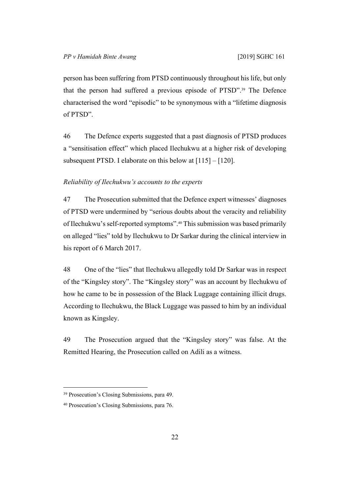person has been suffering from PTSD continuously throughout his life, but only that the person had suffered a previous episode of PTSD".39 The Defence characterised the word "episodic" to be synonymous with a "lifetime diagnosis of PTSD".

46 The Defence experts suggested that a past diagnosis of PTSD produces a "sensitisation effect" which placed Ilechukwu at a higher risk of developing subsequent PTSD. I elaborate on this below at [115] – [120].

#### *Reliability of Ilechukwu's accounts to the experts*

47 The Prosecution submitted that the Defence expert witnesses' diagnoses of PTSD were undermined by "serious doubts about the veracity and reliability of Ilechukwu's self-reported symptoms".40 This submission was based primarily on alleged "lies" told by Ilechukwu to Dr Sarkar during the clinical interview in his report of 6 March 2017.

48 One of the "lies" that Ilechukwu allegedly told Dr Sarkar was in respect of the "Kingsley story". The "Kingsley story" was an account by Ilechukwu of how he came to be in possession of the Black Luggage containing illicit drugs. According to Ilechukwu, the Black Luggage was passed to him by an individual known as Kingsley.

49 The Prosecution argued that the "Kingsley story" was false. At the Remitted Hearing, the Prosecution called on Adili as a witness.

<sup>39</sup> Prosecution's Closing Submissions, para 49.

<sup>40</sup> Prosecution's Closing Submissions, para 76.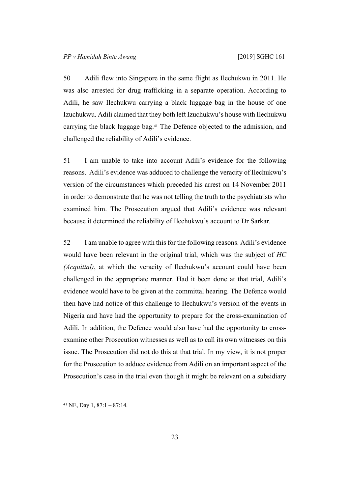50 Adili flew into Singapore in the same flight as Ilechukwu in 2011. He was also arrested for drug trafficking in a separate operation. According to Adili, he saw Ilechukwu carrying a black luggage bag in the house of one Izuchukwu. Adili claimed that they both left Izuchukwu's house with Ilechukwu carrying the black luggage bag.41 The Defence objected to the admission, and challenged the reliability of Adili's evidence.

51 I am unable to take into account Adili's evidence for the following reasons. Adili's evidence was adduced to challenge the veracity of Ilechukwu's version of the circumstances which preceded his arrest on 14 November 2011 in order to demonstrate that he was not telling the truth to the psychiatrists who examined him. The Prosecution argued that Adili's evidence was relevant because it determined the reliability of Ilechukwu's account to Dr Sarkar.

52 I am unable to agree with this for the following reasons. Adili's evidence would have been relevant in the original trial, which was the subject of *HC (Acquittal)*, at which the veracity of Ilechukwu's account could have been challenged in the appropriate manner. Had it been done at that trial, Adili's evidence would have to be given at the committal hearing. The Defence would then have had notice of this challenge to Ilechukwu's version of the events in Nigeria and have had the opportunity to prepare for the cross-examination of Adili. In addition, the Defence would also have had the opportunity to crossexamine other Prosecution witnesses as well as to call its own witnesses on this issue. The Prosecution did not do this at that trial. In my view, it is not proper for the Prosecution to adduce evidence from Adili on an important aspect of the Prosecution's case in the trial even though it might be relevant on a subsidiary

 $41$  NE, Day 1, 87:1 – 87:14.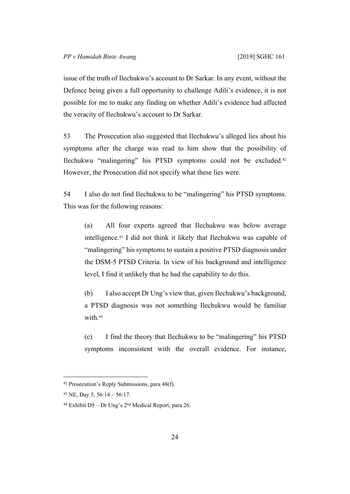issue of the truth of Ilechukwu's account to Dr Sarkar. In any event, without the Defence being given a full opportunity to challenge Adili's evidence, it is not possible for me to make any finding on whether Adili's evidence had affected the veracity of Ilechukwu's account to Dr Sarkar.

53 The Prosecution also suggested that Ilechukwu's alleged lies about his symptoms after the charge was read to him show that the possibility of Ilechukwu "malingering" his PTSD symptoms could not be excluded.<sup>42</sup> However, the Prosecution did not specify what these lies were.

54 I also do not find Ilechukwu to be "malingering" his PTSD symptoms. This was for the following reasons:

(a) All four experts agreed that Ilechukwu was below average intelligence.43 I did not think it likely that Ilechukwu was capable of "malingering" his symptoms to sustain a positive PTSD diagnosis under the DSM-5 PTSD Criteria. In view of his background and intelligence level, I find it unlikely that he had the capability to do this.

(b) I also accept Dr Ung's view that, given Ilechukwu's background, a PTSD diagnosis was not something Ilechukwu would be familiar with.<sup>44</sup>

(c) I find the theory that Ilechukwu to be "malingering" his PTSD symptoms inconsistent with the overall evidence. For instance,

<sup>42</sup> Prosecution's Reply Submissions, para 48(f).

<sup>43</sup> NE, Day 5, 56:14 – 56:17.

<sup>44</sup> Exhibit D5 – Dr Ung's 2nd Medical Report, para 26.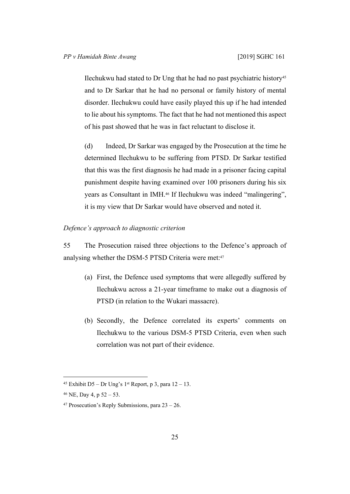Ilechukwu had stated to Dr Ung that he had no past psychiatric history<sup>45</sup> and to Dr Sarkar that he had no personal or family history of mental disorder. Ilechukwu could have easily played this up if he had intended to lie about his symptoms. The fact that he had not mentioned this aspect of his past showed that he was in fact reluctant to disclose it.

(d) Indeed, Dr Sarkar was engaged by the Prosecution at the time he determined Ilechukwu to be suffering from PTSD. Dr Sarkar testified that this was the first diagnosis he had made in a prisoner facing capital punishment despite having examined over 100 prisoners during his six years as Consultant in IMH.46 If Ilechukwu was indeed "malingering", it is my view that Dr Sarkar would have observed and noted it.

# *Defence's approach to diagnostic criterion*

55 The Prosecution raised three objections to the Defence's approach of analysing whether the DSM-5 PTSD Criteria were met:<sup>47</sup>

- (a) First, the Defence used symptoms that were allegedly suffered by Ilechukwu across a 21-year timeframe to make out a diagnosis of PTSD (in relation to the Wukari massacre).
- (b) Secondly, the Defence correlated its experts' comments on Ilechukwu to the various DSM-5 PTSD Criteria, even when such correlation was not part of their evidence.

<sup>&</sup>lt;sup>45</sup> Exhibit D5 – Dr Ung's  $1^{st}$  Report, p 3, para  $12 - 13$ .

 $46$  NE, Day 4, p  $52 - 53$ .

<sup>&</sup>lt;sup>47</sup> Prosecution's Reply Submissions, para  $23 - 26$ .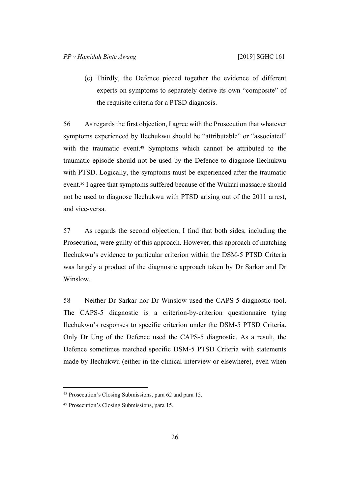(c) Thirdly, the Defence pieced together the evidence of different experts on symptoms to separately derive its own "composite" of the requisite criteria for a PTSD diagnosis.

56 As regards the first objection, I agree with the Prosecution that whatever symptoms experienced by Ilechukwu should be "attributable" or "associated" with the traumatic event.48 Symptoms which cannot be attributed to the traumatic episode should not be used by the Defence to diagnose Ilechukwu with PTSD. Logically, the symptoms must be experienced after the traumatic event.49 I agree that symptoms suffered because of the Wukari massacre should not be used to diagnose Ilechukwu with PTSD arising out of the 2011 arrest, and vice-versa.

57 As regards the second objection, I find that both sides, including the Prosecution, were guilty of this approach. However, this approach of matching Ilechukwu's evidence to particular criterion within the DSM-5 PTSD Criteria was largely a product of the diagnostic approach taken by Dr Sarkar and Dr Winslow.

58 Neither Dr Sarkar nor Dr Winslow used the CAPS-5 diagnostic tool. The CAPS-5 diagnostic is a criterion-by-criterion questionnaire tying Ilechukwu's responses to specific criterion under the DSM-5 PTSD Criteria. Only Dr Ung of the Defence used the CAPS-5 diagnostic. As a result, the Defence sometimes matched specific DSM-5 PTSD Criteria with statements made by Ilechukwu (either in the clinical interview or elsewhere), even when

<sup>48</sup> Prosecution's Closing Submissions, para 62 and para 15.

<sup>49</sup> Prosecution's Closing Submissions, para 15.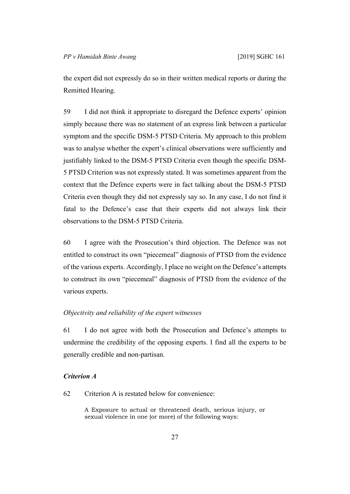the expert did not expressly do so in their written medical reports or during the Remitted Hearing.

59 I did not think it appropriate to disregard the Defence experts' opinion simply because there was no statement of an express link between a particular symptom and the specific DSM-5 PTSD Criteria. My approach to this problem was to analyse whether the expert's clinical observations were sufficiently and justifiably linked to the DSM-5 PTSD Criteria even though the specific DSM-5 PTSD Criterion was not expressly stated. It was sometimes apparent from the context that the Defence experts were in fact talking about the DSM-5 PTSD Criteria even though they did not expressly say so. In any case, I do not find it fatal to the Defence's case that their experts did not always link their observations to the DSM-5 PTSD Criteria.

60 I agree with the Prosecution's third objection. The Defence was not entitled to construct its own "piecemeal" diagnosis of PTSD from the evidence of the various experts. Accordingly, I place no weight on the Defence's attempts to construct its own "piecemeal" diagnosis of PTSD from the evidence of the various experts.

## *Objectivity and reliability of the expert witnesses*

61 I do not agree with both the Prosecution and Defence's attempts to undermine the credibility of the opposing experts. I find all the experts to be generally credible and non-partisan.

# *Criterion A*

62 Criterion A is restated below for convenience:

A Exposure to actual or threatened death, serious injury, or sexual violence in one (or more) of the following ways: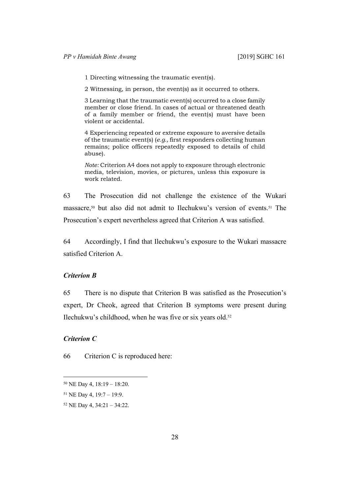1 Directing witnessing the traumatic event(s).

2 Witnessing, in person, the event(s) as it occurred to others.

3 Learning that the traumatic event(s) occurred to a close family member or close friend. In cases of actual or threatened death of a family member or friend, the event(s) must have been violent or accidental.

4 Experiencing repeated or extreme exposure to aversive details of the traumatic event(s) (*e.g.,* first responders collecting human remains; police officers repeatedly exposed to details of child abuse).

*Note:* Criterion A4 does not apply to exposure through electronic media, television, movies, or pictures, unless this exposure is work related.

63 The Prosecution did not challenge the existence of the Wukari massacre,50 but also did not admit to Ilechukwu's version of events.51 The Prosecution's expert nevertheless agreed that Criterion A was satisfied.

64 Accordingly, I find that Ilechukwu's exposure to the Wukari massacre satisfied Criterion A.

# *Criterion B*

65 There is no dispute that Criterion B was satisfied as the Prosecution's expert, Dr Cheok, agreed that Criterion B symptoms were present during Ilechukwu's childhood, when he was five or six years old.<sup>52</sup>

# *Criterion C*

66 Criterion C is reproduced here:

<sup>50</sup> NE Day 4, 18:19 – 18:20.

<sup>51</sup> NE Day 4, 19:7 – 19:9.

<sup>52</sup> NE Day 4, 34:21 – 34:22.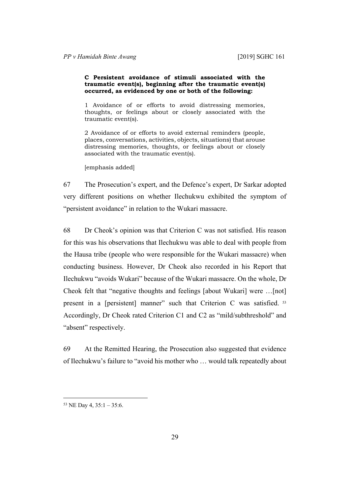#### **C Persistent avoidance of stimuli associated with the traumatic event(s), beginning after the traumatic event(s) occurred, as evidenced by one or both of the following:**

1 Avoidance of or efforts to avoid distressing memories, thoughts, or feelings about or closely associated with the traumatic event(s).

2 Avoidance of or efforts to avoid external reminders (people, places, conversations, activities, objects, situations) that arouse distressing memories, thoughts, or feelings about or closely associated with the traumatic event(s).

[emphasis added]

67 The Prosecution's expert, and the Defence's expert, Dr Sarkar adopted very different positions on whether Ilechukwu exhibited the symptom of "persistent avoidance" in relation to the Wukari massacre.

68 Dr Cheok's opinion was that Criterion C was not satisfied. His reason for this was his observations that Ilechukwu was able to deal with people from the Hausa tribe (people who were responsible for the Wukari massacre) when conducting business. However, Dr Cheok also recorded in his Report that Ilechukwu "avoids Wukari" because of the Wukari massacre. On the whole, Dr Cheok felt that "negative thoughts and feelings [about Wukari] were …[not] present in a [persistent] manner" such that Criterion C was satisfied.<sup>53</sup> Accordingly, Dr Cheok rated Criterion C1 and C2 as "mild/subthreshold" and "absent" respectively.

69 At the Remitted Hearing, the Prosecution also suggested that evidence of Ilechukwu's failure to "avoid his mother who … would talk repeatedly about

<sup>53</sup> NE Day 4, 35:1 – 35:6.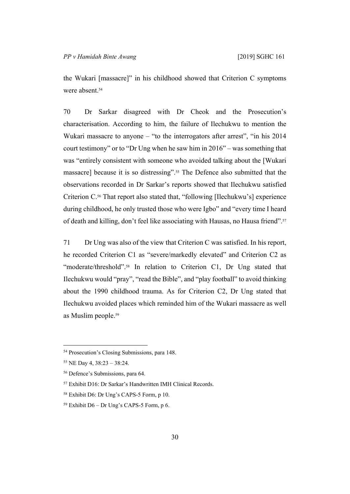the Wukari [massacre]" in his childhood showed that Criterion C symptoms were absent <sup>54</sup>

70 Dr Sarkar disagreed with Dr Cheok and the Prosecution's characterisation. According to him, the failure of Ilechukwu to mention the Wukari massacre to anyone – "to the interrogators after arrest", "in his 2014 court testimony" or to "Dr Ung when he saw him in 2016" – was something that was "entirely consistent with someone who avoided talking about the [Wukari massacre] because it is so distressing".55 The Defence also submitted that the observations recorded in Dr Sarkar's reports showed that Ilechukwu satisfied Criterion C.56 That report also stated that, "following [Ilechukwu's] experience during childhood, he only trusted those who were Igbo" and "every time I heard of death and killing, don't feel like associating with Hausas, no Hausa friend".<sup>57</sup>

71 Dr Ung was also of the view that Criterion C was satisfied. In his report, he recorded Criterion C1 as "severe/markedly elevated" and Criterion C2 as "moderate/threshold".<sup>58</sup> In relation to Criterion C1, Dr Ung stated that Ilechukwu would "pray", "read the Bible", and "play football" to avoid thinking about the 1990 childhood trauma. As for Criterion C2, Dr Ung stated that Ilechukwu avoided places which reminded him of the Wukari massacre as well as Muslim people.<sup>59</sup>

<sup>54</sup> Prosecution's Closing Submissions, para 148.

<sup>55</sup> NE Day 4, 38:23 – 38:24.

<sup>56</sup> Defence's Submissions, para 64.

<sup>57</sup> Exhibit D16: Dr Sarkar's Handwritten IMH Clinical Records.

<sup>58</sup> Exhibit D6: Dr Ung's CAPS-5 Form, p 10.

 $59$  Exhibit D6 – Dr Ung's CAPS-5 Form, p 6.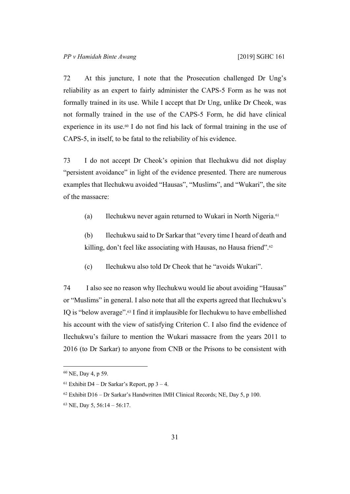72 At this juncture, I note that the Prosecution challenged Dr Ung's reliability as an expert to fairly administer the CAPS-5 Form as he was not formally trained in its use. While I accept that Dr Ung, unlike Dr Cheok, was not formally trained in the use of the CAPS-5 Form, he did have clinical experience in its use.<sup>60</sup> I do not find his lack of formal training in the use of CAPS-5, in itself, to be fatal to the reliability of his evidence.

73 I do not accept Dr Cheok's opinion that Ilechukwu did not display "persistent avoidance" in light of the evidence presented. There are numerous examples that Ilechukwu avoided "Hausas", "Muslims", and "Wukari", the site of the massacre:

(a) Ilechukwu never again returned to Wukari in North Nigeria.<sup>61</sup>

(b) Ilechukwu said to Dr Sarkar that "every time I heard of death and killing, don't feel like associating with Hausas, no Hausa friend".<sup>62</sup>

(c) Ilechukwu also told Dr Cheok that he "avoids Wukari".

74 I also see no reason why Ilechukwu would lie about avoiding "Hausas" or "Muslims" in general. I also note that all the experts agreed that Ilechukwu's IQ is "below average".63 I find it implausible for Ilechukwu to have embellished his account with the view of satisfying Criterion C. I also find the evidence of Ilechukwu's failure to mention the Wukari massacre from the years 2011 to 2016 (to Dr Sarkar) to anyone from CNB or the Prisons to be consistent with

<sup>60</sup> NE, Day 4, p 59.

<sup>&</sup>lt;sup>61</sup> Exhibit D4 – Dr Sarkar's Report, pp  $3 - 4$ .

 $62$  Exhibit D16 – Dr Sarkar's Handwritten IMH Clinical Records; NE, Day 5, p 100.

<sup>63</sup> NE, Day 5, 56:14 – 56:17.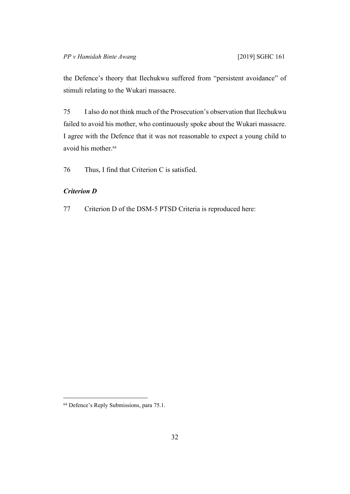the Defence's theory that Ilechukwu suffered from "persistent avoidance" of stimuli relating to the Wukari massacre.

75 I also do not think much of the Prosecution's observation that Ilechukwu failed to avoid his mother, who continuously spoke about the Wukari massacre. I agree with the Defence that it was not reasonable to expect a young child to avoid his mother.<sup>64</sup>

76 Thus, I find that Criterion C is satisfied.

# *Criterion D*

77 Criterion D of the DSM-5 PTSD Criteria is reproduced here:

<sup>64</sup> Defence's Reply Submissions, para 75.1.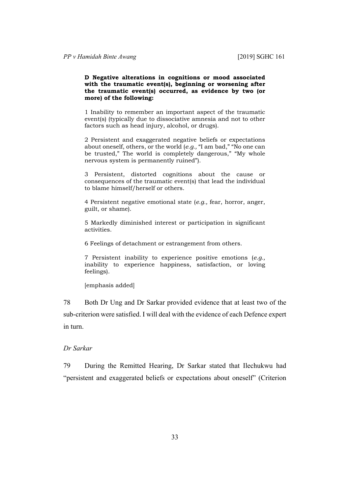#### **D Negative alterations in cognitions or mood associated with the traumatic event(s), beginning or worsening after the traumatic event(s) occurred, as evidence by two (or more) of the following:**

1 Inability to remember an important aspect of the traumatic event(s) (typically due to dissociative amnesia and not to other factors such as head injury, alcohol, or drugs).

2 Persistent and exaggerated negative beliefs or expectations about oneself, others, or the world (*e.g.,* "I am bad," "No one can be trusted," The world is completely dangerous," "My whole nervous system is permanently ruined").

3 Persistent, distorted cognitions about the cause or consequences of the traumatic event(s) that lead the individual to blame himself/herself or others.

4 Persistent negative emotional state (*e.g.,* fear, horror, anger, guilt, or shame).

5 Markedly diminished interest or participation in significant activities.

6 Feelings of detachment or estrangement from others.

7 Persistent inability to experience positive emotions (*e.g.,*  inability to experience happiness, satisfaction, or loving feelings).

[emphasis added]

78 Both Dr Ung and Dr Sarkar provided evidence that at least two of the sub-criterion were satisfied. I will deal with the evidence of each Defence expert in turn.

# *Dr Sarkar*

79 During the Remitted Hearing, Dr Sarkar stated that Ilechukwu had "persistent and exaggerated beliefs or expectations about oneself" (Criterion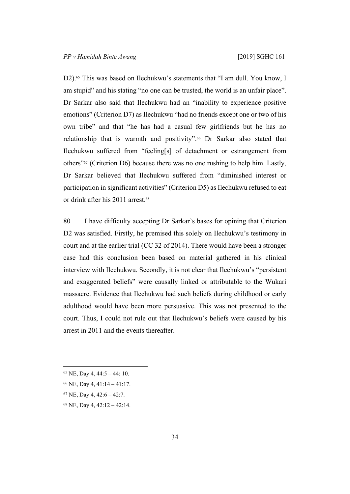D2).<sup>65</sup> This was based on Ilechukwu's statements that "I am dull. You know, I am stupid" and his stating "no one can be trusted, the world is an unfair place". Dr Sarkar also said that Ilechukwu had an "inability to experience positive emotions" (Criterion D7) as Ilechukwu "had no friends except one or two of his own tribe" and that "he has had a casual few girlfriends but he has no relationship that is warmth and positivity".66 Dr Sarkar also stated that Ilechukwu suffered from "feeling[s] of detachment or estrangement from others"67 (Criterion D6) because there was no one rushing to help him. Lastly, Dr Sarkar believed that Ilechukwu suffered from "diminished interest or participation in significant activities" (Criterion D5) as Ilechukwu refused to eat or drink after his 2011 arrest.<sup>68</sup>

80 I have difficulty accepting Dr Sarkar's bases for opining that Criterion D2 was satisfied. Firstly, he premised this solely on Ilechukwu's testimony in court and at the earlier trial (CC 32 of 2014). There would have been a stronger case had this conclusion been based on material gathered in his clinical interview with Ilechukwu. Secondly, it is not clear that Ilechukwu's "persistent and exaggerated beliefs" were causally linked or attributable to the Wukari massacre. Evidence that Ilechukwu had such beliefs during childhood or early adulthood would have been more persuasive. This was not presented to the court. Thus, I could not rule out that Ilechukwu's beliefs were caused by his arrest in 2011 and the events thereafter.

 $65$  NE, Day 4, 44:5 – 44: 10.

- <sup>67</sup> NE, Day 4, 42:6 42:7.
- 68 NE, Day 4, 42:12 42:14.

<sup>66</sup> NE, Day 4, 41:14 – 41:17.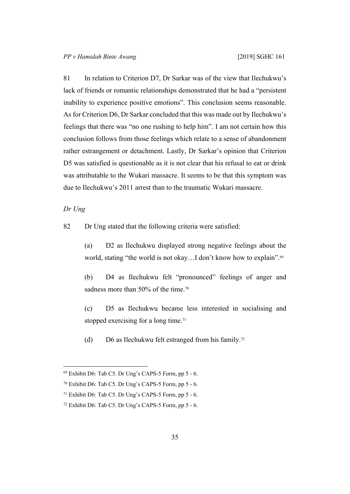81 In relation to Criterion D7, Dr Sarkar was of the view that Ilechukwu's lack of friends or romantic relationships demonstrated that he had a "persistent inability to experience positive emotions". This conclusion seems reasonable. As for Criterion D6, Dr Sarkar concluded that this was made out by Ilechukwu's feelings that there was "no one rushing to help him". I am not certain how this conclusion follows from those feelings which relate to a sense of abandonment rather estrangement or detachment. Lastly, Dr Sarkar's opinion that Criterion D5 was satisfied is questionable as it is not clear that his refusal to eat or drink was attributable to the Wukari massacre. It seems to be that this symptom was due to Ilechukwu's 2011 arrest than to the traumatic Wukari massacre.

### *Dr Ung*

82 Dr Ung stated that the following criteria were satisfied:

(a) D2 as Ilechukwu displayed strong negative feelings about the world, stating "the world is not okay...I don't know how to explain".<sup>69</sup>

(b) D4 as Ilechukwu felt "pronounced" feelings of anger and sadness more than 50% of the time.<sup>70</sup>

(c) D5 as Ilechukwu became less interested in socialising and stopped exercising for a long time.<sup>71</sup>

(d) D6 as Ilechukwu felt estranged from his family.<sup>72</sup>

<sup>69</sup> Exhibit D6: Tab C5. Dr Ung's CAPS-5 Form, pp 5 - 6.

<sup>70</sup> Exhibit D6: Tab C5. Dr Ung's CAPS-5 Form, pp 5 - 6.

<sup>71</sup> Exhibit D6: Tab C5. Dr Ung's CAPS-5 Form, pp 5 - 6.

<sup>72</sup> Exhibit D6: Tab C5. Dr Ung's CAPS-5 Form, pp 5 - 6.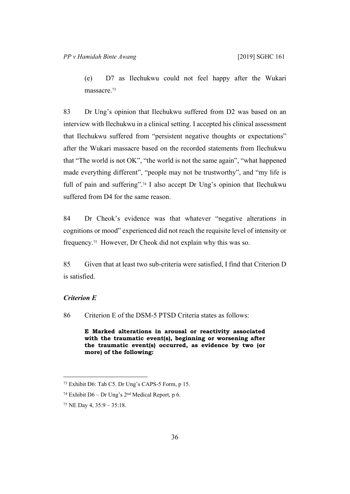(e) D7 as Ilechukwu could not feel happy after the Wukari massacre.<sup>73</sup>

83 Dr Ung's opinion that Ilechukwu suffered from D2 was based on an interview with Ilechukwu in a clinical setting. I accepted his clinical assessment that Ilechukwu suffered from "persistent negative thoughts or expectations" after the Wukari massacre based on the recorded statements from Ilechukwu that "The world is not OK", "the world is not the same again", "what happened made everything different", "people may not be trustworthy", and "my life is full of pain and suffering".<sup>74</sup> I also accept Dr Ung's opinion that Ilechukwu suffered from D4 for the same reason.

84 Dr Cheok's evidence was that whatever "negative alterations in cognitions or mood" experienced did not reach the requisite level of intensity or frequency.75 However, Dr Cheok did not explain why this was so.

85 Given that at least two sub-criteria were satisfied, I find that Criterion D is satisfied.

# *Criterion E*

86 Criterion E of the DSM-5 PTSD Criteria states as follows:

**E Marked alterations in arousal or reactivity associated with the traumatic event(s), beginning or worsening after the traumatic event(s) occurred, as evidence by two (or more) of the following:**

<sup>73</sup> Exhibit D6: Tab C5. Dr Ung's CAPS-5 Form, p 15.

<sup>&</sup>lt;sup>74</sup> Exhibit D6 – Dr Ung's  $2<sup>nd</sup>$  Medical Report, p 6.

<sup>75</sup> NE Day 4, 35:9 – 35:18.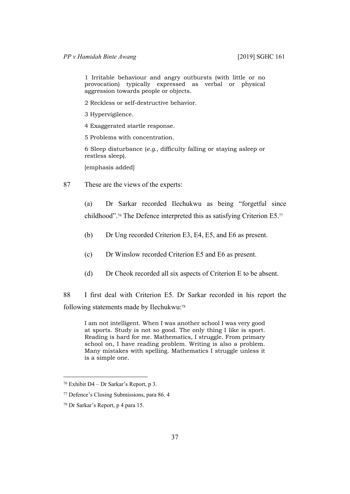1 Irritable behaviour and angry outbursts (with little or no provocation) typically expressed as verbal or physical aggression towards people or objects.

- 2 Reckless or self-destructive behavior.
- 3 Hypervigilence.
- 4 Exaggerated startle response.
- 5 Problems with concentration.

6 Sleep disturbance (*e.g.,* difficulty falling or staying asleep or restless sleep).

[emphasis added]

87 These are the views of the experts:

(a) Dr Sarkar recorded Ilechukwu as being "forgetful since childhood".76 The Defence interpreted this as satisfying Criterion E5.<sup>77</sup>

- (b) Dr Ung recorded Criterion E3, E4, E5, and E6 as present.
- (c) Dr Winslow recorded Criterion E5 and E6 as present.
- (d) Dr Cheok recorded all six aspects of Criterion E to be absent.

88 I first deal with Criterion E5. Dr Sarkar recorded in his report the following statements made by Ilechukwu:<sup>78</sup>

I am not intelligent. When I was another school I was very good at sports. Study is not so good. The only thing I like is sport. Reading is hard for me. Mathematics, I struggle. From primary school on, I have reading problem. Writing is also a problem. Many mistakes with spelling. Mathematics I struggle unless it is a simple one.

<sup>76</sup> Exhibit D4 – Dr Sarkar's Report, p 3.

<sup>77</sup> Defence's Closing Submissions, para 86. 4

<sup>78</sup> Dr Sarkar's Report, p 4 para 15.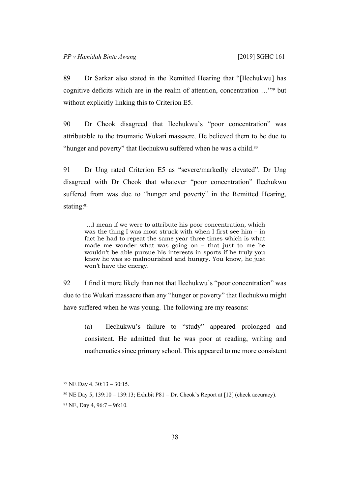89 Dr Sarkar also stated in the Remitted Hearing that "[Ilechukwu] has cognitive deficits which are in the realm of attention, concentration …"79 but without explicitly linking this to Criterion E5.

90 Dr Cheok disagreed that Ilechukwu's "poor concentration" was attributable to the traumatic Wukari massacre. He believed them to be due to "hunger and poverty" that Ilechukwu suffered when he was a child.<sup>80</sup>

91 Dr Ung rated Criterion E5 as "severe/markedly elevated". Dr Ung disagreed with Dr Cheok that whatever "poor concentration" Ilechukwu suffered from was due to "hunger and poverty" in the Remitted Hearing, stating:81

 …I mean if we were to attribute his poor concentration, which was the thing I was most struck with when I first see him – in fact he had to repeat the same year three times which is what made me wonder what was going on – that just to me he wouldn't be able pursue his interests in sports if he truly you know he was so malnourished and hungry. You know, he just won't have the energy.

92 I find it more likely than not that Ilechukwu's "poor concentration" was due to the Wukari massacre than any "hunger or poverty" that Ilechukwu might have suffered when he was young. The following are my reasons:

(a) Ilechukwu's failure to "study" appeared prolonged and consistent. He admitted that he was poor at reading, writing and mathematics since primary school. This appeared to me more consistent

<sup>79</sup> NE Day 4, 30:13 – 30:15.

<sup>&</sup>lt;sup>80</sup> NE Day 5, 139:10 – 139:13; Exhibit P81 – Dr. Cheok's Report at [12] (check accuracy).

 $81$  NE, Day 4, 96:7 – 96:10.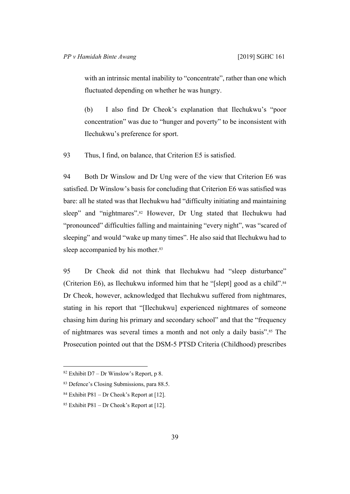with an intrinsic mental inability to "concentrate", rather than one which fluctuated depending on whether he was hungry.

(b) I also find Dr Cheok's explanation that Ilechukwu's "poor concentration" was due to "hunger and poverty" to be inconsistent with Ilechukwu's preference for sport.

93 Thus, I find, on balance, that Criterion E5 is satisfied.

94 Both Dr Winslow and Dr Ung were of the view that Criterion E6 was satisfied. Dr Winslow's basis for concluding that Criterion E6 was satisfied was bare: all he stated was that Ilechukwu had "difficulty initiating and maintaining sleep" and "nightmares".<sup>82</sup> However, Dr Ung stated that Ilechukwu had "pronounced" difficulties falling and maintaining "every night", was "scared of sleeping" and would "wake up many times". He also said that Ilechukwu had to sleep accompanied by his mother.<sup>83</sup>

95 Dr Cheok did not think that Ilechukwu had "sleep disturbance" (Criterion E6), as Ilechukwu informed him that he "[slept] good as a child".<sup>84</sup> Dr Cheok, however, acknowledged that Ilechukwu suffered from nightmares, stating in his report that "[Ilechukwu] experienced nightmares of someone chasing him during his primary and secondary school" and that the "frequency of nightmares was several times a month and not only a daily basis".85 The Prosecution pointed out that the DSM-5 PTSD Criteria (Childhood) prescribes

 $82$  Exhibit D7 – Dr Winslow's Report, p 8.

<sup>83</sup> Defence's Closing Submissions, para 88.5.

<sup>&</sup>lt;sup>84</sup> Exhibit P81 – Dr Cheok's Report at [12].

<sup>&</sup>lt;sup>85</sup> Exhibit P81 – Dr Cheok's Report at [12].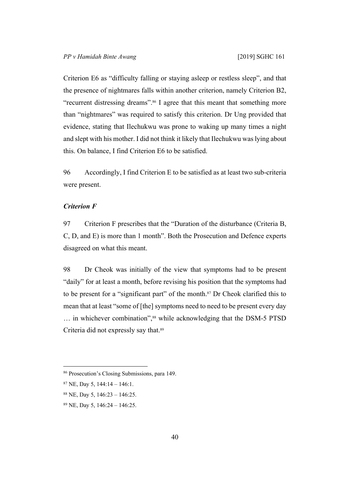Criterion E6 as "difficulty falling or staying asleep or restless sleep", and that the presence of nightmares falls within another criterion, namely Criterion B2, "recurrent distressing dreams".86 I agree that this meant that something more than "nightmares" was required to satisfy this criterion. Dr Ung provided that evidence, stating that Ilechukwu was prone to waking up many times a night and slept with his mother. I did not think it likely that Ilechukwu was lying about this. On balance, I find Criterion E6 to be satisfied.

96 Accordingly, I find Criterion E to be satisfied as at least two sub-criteria were present.

### *Criterion F*

97 Criterion F prescribes that the "Duration of the disturbance (Criteria B, C, D, and E) is more than 1 month". Both the Prosecution and Defence experts disagreed on what this meant.

98 Dr Cheok was initially of the view that symptoms had to be present "daily" for at least a month, before revising his position that the symptoms had to be present for a "significant part" of the month.87 Dr Cheok clarified this to mean that at least "some of [the] symptoms need to need to be present every day ... in whichever combination",<sup>88</sup> while acknowledging that the DSM-5 PTSD Criteria did not expressly say that.<sup>89</sup>

<sup>86</sup> Prosecution's Closing Submissions, para 149.

 $87$  NE, Day 5, 144:14 – 146:1.

<sup>88</sup> NE, Day 5, 146:23 – 146:25.

<sup>89</sup> NE, Day 5, 146:24 – 146:25.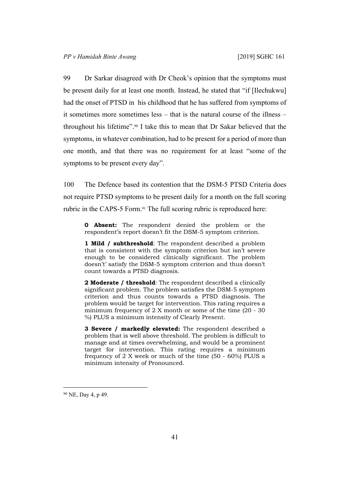99 Dr Sarkar disagreed with Dr Cheok's opinion that the symptoms must be present daily for at least one month. Instead, he stated that "if [Ilechukwu] had the onset of PTSD in his childhood that he has suffered from symptoms of it sometimes more sometimes less – that is the natural course of the illness – throughout his lifetime".90 I take this to mean that Dr Sakar believed that the symptoms, in whatever combination, had to be present for a period of more than one month, and that there was no requirement for at least "some of the symptoms to be present every day".

100 The Defence based its contention that the DSM-5 PTSD Criteria does not require PTSD symptoms to be present daily for a month on the full scoring rubric in the CAPS-5 Form.<sup>91</sup> The full scoring rubric is reproduced here:

**0 Absent:** The respondent denied the problem or the respondent's report doesn't fit the DSM-5 symptom criterion.

**1 Mild / subthreshold**: The respondent described a problem that is consistent with the symptom criterion but isn't severe enough to be considered clinically significant. The problem doesn't' satisfy the DSM-5 symptom criterion and thus doesn't count towards a PTSD diagnosis.

**2 Moderate / threshold**: The respondent described a clinically significant problem. The problem satisfies the DSM-5 symptom criterion and thus counts towards a PTSD diagnosis. The problem would be target for intervention. This rating requires a minimum frequency of 2 X month or some of the time (20 - 30 %) PLUS a minimum intensity of Clearly Present.

**3 Severe / markedly elevated:** The respondent described a problem that is well above threshold. The problem is difficult to manage and at times overwhelming, and would be a prominent target for intervention. This rating requires a minimum frequency of 2 X week or much of the time (50 - 60%) PLUS a minimum intensity of Pronounced.

<sup>90</sup> NE, Day 4, p 49.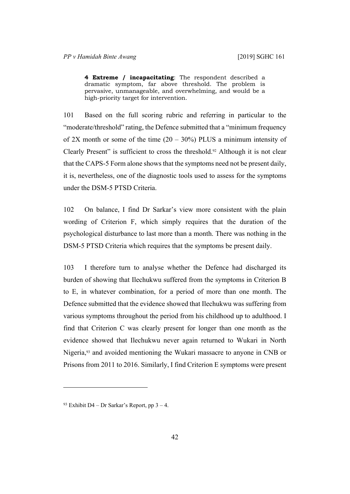**4 Extreme / incapacitating**: The respondent described a dramatic symptom, far above threshold. The problem is pervasive, unmanageable, and overwhelming, and would be a high-priority target for intervention.

101 Based on the full scoring rubric and referring in particular to the "moderate/threshold" rating, the Defence submitted that a "minimum frequency of 2X month or some of the time  $(20 - 30\%)$  PLUS a minimum intensity of Clearly Present" is sufficient to cross the threshold.92 Although it is not clear that the CAPS-5 Form alone shows that the symptoms need not be present daily, it is, nevertheless, one of the diagnostic tools used to assess for the symptoms under the DSM-5 PTSD Criteria.

102 On balance, I find Dr Sarkar's view more consistent with the plain wording of Criterion F, which simply requires that the duration of the psychological disturbance to last more than a month. There was nothing in the DSM-5 PTSD Criteria which requires that the symptoms be present daily.

103 I therefore turn to analyse whether the Defence had discharged its burden of showing that Ilechukwu suffered from the symptoms in Criterion B to E, in whatever combination, for a period of more than one month. The Defence submitted that the evidence showed that Ilechukwu was suffering from various symptoms throughout the period from his childhood up to adulthood. I find that Criterion C was clearly present for longer than one month as the evidence showed that Ilechukwu never again returned to Wukari in North Nigeria,93 and avoided mentioning the Wukari massacre to anyone in CNB or Prisons from 2011 to 2016. Similarly, I find Criterion E symptoms were present

<sup>&</sup>lt;sup>93</sup> Exhibit D4 – Dr Sarkar's Report, pp  $3 - 4$ .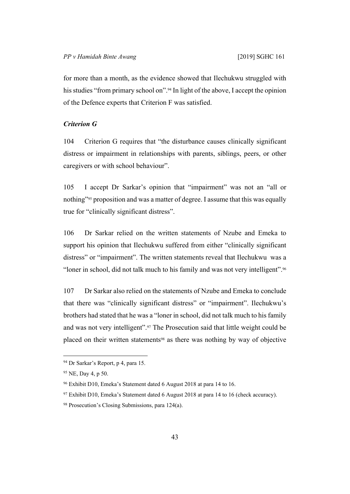for more than a month, as the evidence showed that Ilechukwu struggled with his studies "from primary school on".<sup>94</sup> In light of the above, I accept the opinion of the Defence experts that Criterion F was satisfied.

# *Criterion G*

104 Criterion G requires that "the disturbance causes clinically significant distress or impairment in relationships with parents, siblings, peers, or other caregivers or with school behaviour".

105 I accept Dr Sarkar's opinion that "impairment" was not an "all or nothing"95 proposition and was a matter of degree. I assume that this was equally true for "clinically significant distress".

106 Dr Sarkar relied on the written statements of Nzube and Emeka to support his opinion that Ilechukwu suffered from either "clinically significant distress" or "impairment". The written statements reveal that Ilechukwu was a "loner in school, did not talk much to his family and was not very intelligent".<sup>96</sup>

107 Dr Sarkar also relied on the statements of Nzube and Emeka to conclude that there was "clinically significant distress" or "impairment". Ilechukwu's brothers had stated that he was a "loner in school, did not talk much to his family and was not very intelligent".97 The Prosecution said that little weight could be placed on their written statements98 as there was nothing by way of objective

<sup>94</sup> Dr Sarkar's Report, p 4, para 15.

<sup>95</sup> NE, Day 4, p 50.

<sup>96</sup> Exhibit D10, Emeka's Statement dated 6 August 2018 at para 14 to 16.

<sup>&</sup>lt;sup>97</sup> Exhibit D10, Emeka's Statement dated 6 August 2018 at para 14 to 16 (check accuracy).

<sup>98</sup> Prosecution's Closing Submissions, para 124(a).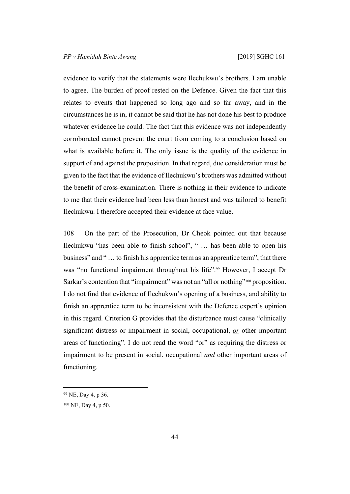evidence to verify that the statements were Ilechukwu's brothers. I am unable to agree. The burden of proof rested on the Defence. Given the fact that this relates to events that happened so long ago and so far away, and in the circumstances he is in, it cannot be said that he has not done his best to produce whatever evidence he could. The fact that this evidence was not independently corroborated cannot prevent the court from coming to a conclusion based on what is available before it. The only issue is the quality of the evidence in support of and against the proposition. In that regard, due consideration must be given to the fact that the evidence of Ilechukwu's brothers was admitted without the benefit of cross-examination. There is nothing in their evidence to indicate to me that their evidence had been less than honest and was tailored to benefit Ilechukwu. I therefore accepted their evidence at face value.

108 On the part of the Prosecution, Dr Cheok pointed out that because Ilechukwu "has been able to finish school", " … has been able to open his business" and " … to finish his apprentice term as an apprentice term", that there was "no functional impairment throughout his life".<sup>99</sup> However, I accept Dr Sarkar's contention that "impairment" was not an "all or nothing"<sup>100</sup> proposition. I do not find that evidence of Ilechukwu's opening of a business, and ability to finish an apprentice term to be inconsistent with the Defence expert's opinion in this regard. Criterion G provides that the disturbance must cause "clinically significant distress or impairment in social, occupational, *or* other important areas of functioning". I do not read the word "or" as requiring the distress or impairment to be present in social, occupational *and* other important areas of functioning.

<sup>99</sup> NE, Day 4, p 36.

<sup>100</sup> NE, Day 4, p 50.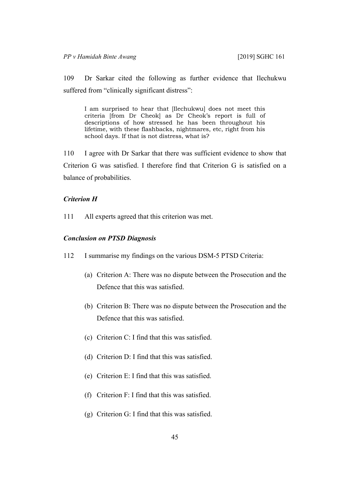109 Dr Sarkar cited the following as further evidence that Ilechukwu suffered from "clinically significant distress":

I am surprised to hear that [Ilechukwu] does not meet this criteria [from Dr Cheok] as Dr Cheok's report is full of descriptions of how stressed he has been throughout his lifetime, with these flashbacks, nightmares, etc, right from his school days. If that is not distress, what is?

110 I agree with Dr Sarkar that there was sufficient evidence to show that Criterion G was satisfied. I therefore find that Criterion G is satisfied on a balance of probabilities.

# *Criterion H*

111 All experts agreed that this criterion was met.

#### *Conclusion on PTSD Diagnosis*

- 112 I summarise my findings on the various DSM-5 PTSD Criteria:
	- (a) Criterion A: There was no dispute between the Prosecution and the Defence that this was satisfied.
	- (b) Criterion B: There was no dispute between the Prosecution and the Defence that this was satisfied.
	- (c) Criterion C: I find that this was satisfied.
	- (d) Criterion D: I find that this was satisfied.
	- (e) Criterion E: I find that this was satisfied.
	- (f) Criterion F: I find that this was satisfied.
	- (g) Criterion G: I find that this was satisfied.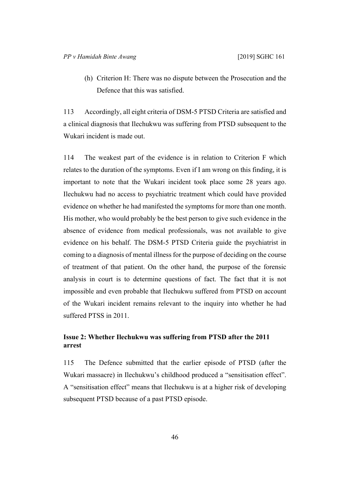(h) Criterion H: There was no dispute between the Prosecution and the Defence that this was satisfied.

113 Accordingly, all eight criteria of DSM-5 PTSD Criteria are satisfied and a clinical diagnosis that Ilechukwu was suffering from PTSD subsequent to the Wukari incident is made out.

114 The weakest part of the evidence is in relation to Criterion F which relates to the duration of the symptoms. Even if I am wrong on this finding, it is important to note that the Wukari incident took place some 28 years ago. Ilechukwu had no access to psychiatric treatment which could have provided evidence on whether he had manifested the symptoms for more than one month. His mother, who would probably be the best person to give such evidence in the absence of evidence from medical professionals, was not available to give evidence on his behalf. The DSM-5 PTSD Criteria guide the psychiatrist in coming to a diagnosis of mental illness for the purpose of deciding on the course of treatment of that patient. On the other hand, the purpose of the forensic analysis in court is to determine questions of fact. The fact that it is not impossible and even probable that Ilechukwu suffered from PTSD on account of the Wukari incident remains relevant to the inquiry into whether he had suffered PTSS in 2011.

# **Issue 2: Whether Ilechukwu was suffering from PTSD after the 2011 arrest**

115 The Defence submitted that the earlier episode of PTSD (after the Wukari massacre) in Ilechukwu's childhood produced a "sensitisation effect". A "sensitisation effect" means that Ilechukwu is at a higher risk of developing subsequent PTSD because of a past PTSD episode.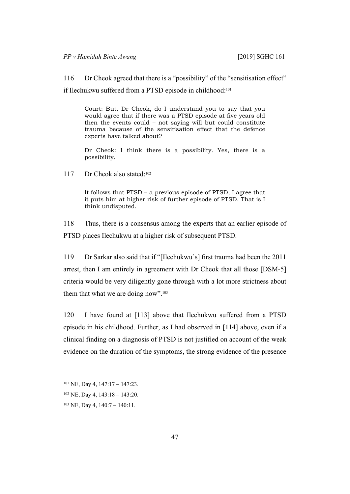116 Dr Cheok agreed that there is a "possibility" of the "sensitisation effect"

if Ilechukwu suffered from a PTSD episode in childhood:<sup>101</sup>

Court: But, Dr Cheok, do I understand you to say that you would agree that if there was a PTSD episode at five years old then the events could – not saying will but could constitute trauma because of the sensitisation effect that the defence experts have talked about?

Dr Cheok: I think there is a possibility. Yes, there is a possibility.

117 Dr Cheok also stated:<sup>102</sup>

It follows that PTSD – a previous episode of PTSD, I agree that it puts him at higher risk of further episode of PTSD. That is I think undisputed.

118 Thus, there is a consensus among the experts that an earlier episode of PTSD places Ilechukwu at a higher risk of subsequent PTSD.

119 Dr Sarkar also said that if "[Ilechukwu's] first trauma had been the 2011 arrest, then I am entirely in agreement with Dr Cheok that all those [DSM-5] criteria would be very diligently gone through with a lot more strictness about them that what we are doing now".<sup>103</sup>

120 I have found at [113] above that Ilechukwu suffered from a PTSD episode in his childhood. Further, as I had observed in [114] above, even if a clinical finding on a diagnosis of PTSD is not justified on account of the weak evidence on the duration of the symptoms, the strong evidence of the presence

 $101$  NE, Day 4,  $147:17 - 147:23$ .

<sup>102</sup> NE, Day 4, 143:18 – 143:20.

<sup>103</sup> NE, Day 4, 140:7 – 140:11.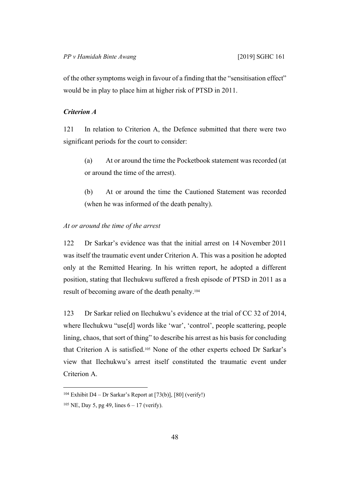of the other symptoms weigh in favour of a finding that the "sensitisation effect" would be in play to place him at higher risk of PTSD in 2011.

# *Criterion A*

121 In relation to Criterion A, the Defence submitted that there were two significant periods for the court to consider:

(a) At or around the time the Pocketbook statement was recorded (at or around the time of the arrest).

(b) At or around the time the Cautioned Statement was recorded (when he was informed of the death penalty).

#### *At or around the time of the arrest*

122 Dr Sarkar's evidence was that the initial arrest on 14 November 2011 was itself the traumatic event under Criterion A. This was a position he adopted only at the Remitted Hearing. In his written report, he adopted a different position, stating that Ilechukwu suffered a fresh episode of PTSD in 2011 as a result of becoming aware of the death penalty.<sup>104</sup>

123 Dr Sarkar relied on Ilechukwu's evidence at the trial of CC 32 of 2014, where Ilechukwu "use[d] words like 'war', 'control', people scattering, people lining, chaos, that sort of thing" to describe his arrest as his basis for concluding that Criterion A is satisfied.105 None of the other experts echoed Dr Sarkar's view that Ilechukwu's arrest itself constituted the traumatic event under Criterion A.

<sup>&</sup>lt;sup>104</sup> Exhibit D4 – Dr Sarkar's Report at [73(b)], [80] (verify!)

<sup>&</sup>lt;sup>105</sup> NE, Day 5, pg 49, lines  $6 - 17$  (verify).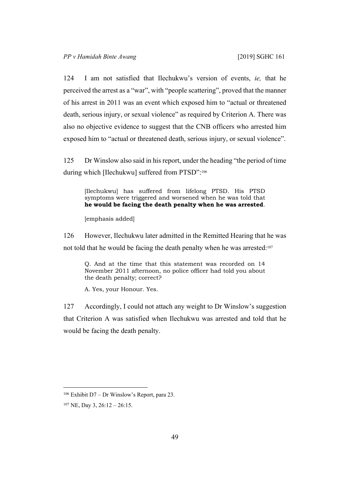124 I am not satisfied that Ilechukwu's version of events, *ie,* that he perceived the arrest as a "war", with "people scattering", proved that the manner of his arrest in 2011 was an event which exposed him to "actual or threatened death, serious injury, or sexual violence" as required by Criterion A. There was also no objective evidence to suggest that the CNB officers who arrested him exposed him to "actual or threatened death, serious injury, or sexual violence".

125 Dr Winslow also said in his report, under the heading "the period of time during which [Ilechukwu] suffered from PTSD":<sup>106</sup>

[Ilechukwu] has suffered from lifelong PTSD. His PTSD symptoms were triggered and worsened when he was told that **he would be facing the death penalty when he was arrested**.

[emphasis added]

126 However, Ilechukwu later admitted in the Remitted Hearing that he was not told that he would be facing the death penalty when he was arrested:<sup>107</sup>

Q. And at the time that this statement was recorded on 14 November 2011 afternoon, no police officer had told you about the death penalty; correct?

A. Yes, your Honour. Yes.

127 Accordingly, I could not attach any weight to Dr Winslow's suggestion that Criterion A was satisfied when Ilechukwu was arrested and told that he would be facing the death penalty.

<sup>106</sup> Exhibit D7 – Dr Winslow's Report, para 23.

<sup>107</sup> NE, Day 3, 26:12 – 26:15.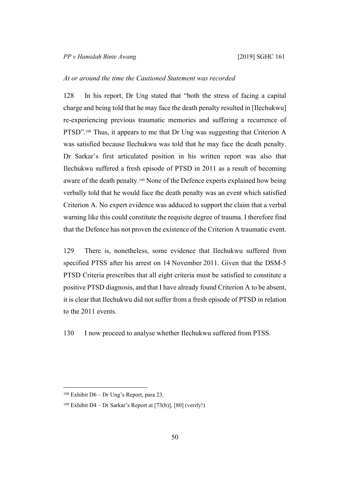### *At or around the time the Cautioned Statement was recorded*

128 In his report, Dr Ung stated that "both the stress of facing a capital charge and being told that he may face the death penalty resulted in [Ilechukwu] re-experiencing previous traumatic memories and suffering a recurrence of PTSD".108 Thus, it appears to me that Dr Ung was suggesting that Criterion A was satisfied because Ilechukwu was told that he may face the death penalty. Dr Sarkar's first articulated position in his written report was also that Ilechukwu suffered a fresh episode of PTSD in 2011 as a result of becoming aware of the death penalty.109 None of the Defence experts explained how being verbally told that he would face the death penalty was an event which satisfied Criterion A. No expert evidence was adduced to support the claim that a verbal warning like this could constitute the requisite degree of trauma. I therefore find that the Defence has not proven the existence of the Criterion A traumatic event.

129 There is, nonetheless, some evidence that Ilechukwu suffered from specified PTSS after his arrest on 14 November 2011. Given that the DSM-5 PTSD Criteria prescribes that all eight criteria must be satisfied to constitute a positive PTSD diagnosis, and that I have already found Criterion A to be absent, it is clear that Ilechukwu did not suffer from a fresh episode of PTSD in relation to the 2011 events.

130 I now proceed to analyse whether Ilechukwu suffered from PTSS.

<sup>108</sup> Exhibit D6 – Dr Ung's Report, para 23.

<sup>&</sup>lt;sup>109</sup> Exhibit D4 – Dr Sarkar's Report at [73(b)], [80] (verify!)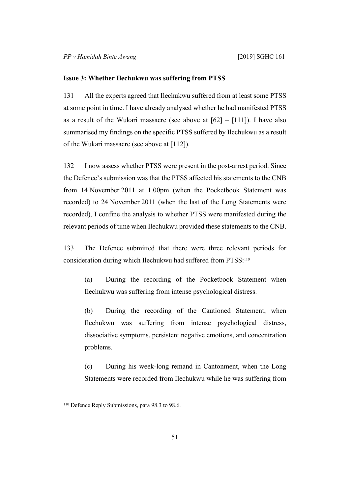#### **Issue 3: Whether Ilechukwu was suffering from PTSS**

131 All the experts agreed that Ilechukwu suffered from at least some PTSS at some point in time. I have already analysed whether he had manifested PTSS as a result of the Wukari massacre (see above at  $[62] - [111]$ ). I have also summarised my findings on the specific PTSS suffered by Ilechukwu as a result of the Wukari massacre (see above at [112]).

132 I now assess whether PTSS were present in the post-arrest period. Since the Defence's submission was that the PTSS affected his statements to the CNB from 14 November 2011 at 1.00pm (when the Pocketbook Statement was recorded) to 24 November 2011 (when the last of the Long Statements were recorded), I confine the analysis to whether PTSS were manifested during the relevant periods of time when Ilechukwu provided these statements to the CNB.

133 The Defence submitted that there were three relevant periods for consideration during which Ilechukwu had suffered from PTSS:<sup>110</sup>

(a) During the recording of the Pocketbook Statement when Ilechukwu was suffering from intense psychological distress.

(b) During the recording of the Cautioned Statement, when Ilechukwu was suffering from intense psychological distress, dissociative symptoms, persistent negative emotions, and concentration problems.

(c) During his week-long remand in Cantonment, when the Long Statements were recorded from Ilechukwu while he was suffering from

<sup>&</sup>lt;sup>110</sup> Defence Reply Submissions, para 98.3 to 98.6.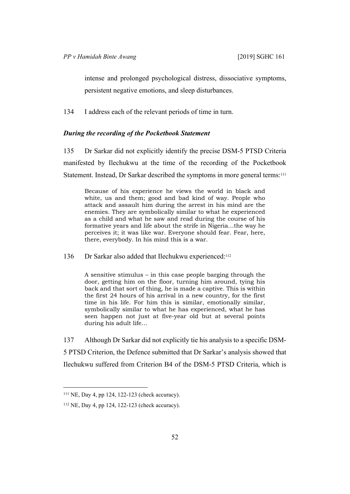intense and prolonged psychological distress, dissociative symptoms, persistent negative emotions, and sleep disturbances.

134 I address each of the relevant periods of time in turn.

# *During the recording of the Pocketbook Statement*

135 Dr Sarkar did not explicitly identify the precise DSM-5 PTSD Criteria manifested by Ilechukwu at the time of the recording of the Pocketbook Statement. Instead, Dr Sarkar described the symptoms in more general terms:<sup>111</sup>

Because of his experience he views the world in black and white, us and them; good and bad kind of way. People who attack and assault him during the arrest in his mind are the enemies. They are symbolically similar to what he experienced as a child and what he saw and read during the course of his formative years and life about the strife in Nigeria…the way he perceives it; it was like war. Everyone should fear. Fear, here, there, everybody. In his mind this is a war.

136 Dr Sarkar also added that Ilechukwu experienced:<sup>112</sup>

A sensitive stimulus – in this case people barging through the door, getting him on the floor, turning him around, tying his back and that sort of thing, he is made a captive. This is within the first 24 hours of his arrival in a new country, for the first time in his life. For him this is similar, emotionally similar, symbolically similar to what he has experienced, what he has seen happen not just at five-year old but at several points during his adult life…

137 Although Dr Sarkar did not explicitly tie his analysis to a specific DSM-5 PTSD Criterion, the Defence submitted that Dr Sarkar's analysis showed that Ilechukwu suffered from Criterion B4 of the DSM-5 PTSD Criteria, which is

<sup>111</sup> NE, Day 4, pp 124, 122-123 (check accuracy).

<sup>112</sup> NE, Day 4, pp 124, 122-123 (check accuracy).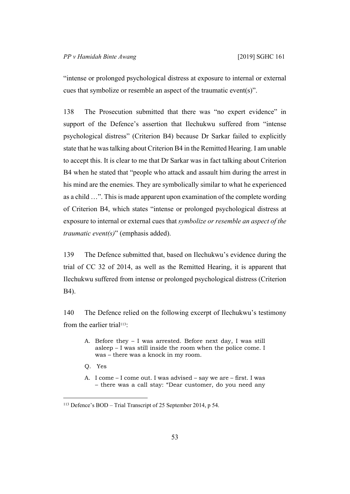"intense or prolonged psychological distress at exposure to internal or external cues that symbolize or resemble an aspect of the traumatic event(s)".

138 The Prosecution submitted that there was "no expert evidence" in support of the Defence's assertion that Ilechukwu suffered from "intense psychological distress" (Criterion B4) because Dr Sarkar failed to explicitly state that he was talking about Criterion B4 in the Remitted Hearing. I am unable to accept this. It is clear to me that Dr Sarkar was in fact talking about Criterion B4 when he stated that "people who attack and assault him during the arrest in his mind are the enemies. They are symbolically similar to what he experienced as a child …". This is made apparent upon examination of the complete wording of Criterion B4, which states "intense or prolonged psychological distress at exposure to internal or external cues that *symbolize or resemble an aspect of the traumatic event(s)*" (emphasis added).

139 The Defence submitted that, based on Ilechukwu's evidence during the trial of CC 32 of 2014, as well as the Remitted Hearing, it is apparent that Ilechukwu suffered from intense or prolonged psychological distress (Criterion B4).

140 The Defence relied on the following excerpt of Ilechukwu's testimony from the earlier trial<sup>113</sup>:

- A. Before they I was arrested. Before next day, I was still asleep – I was still inside the room when the police come. I was – there was a knock in my room.
- Q. Yes
- A. I come I come out. I was advised say we are first. I was – there was a call stay: "Dear customer, do you need any

<sup>113</sup> Defence's BOD – Trial Transcript of 25 September 2014, p 54.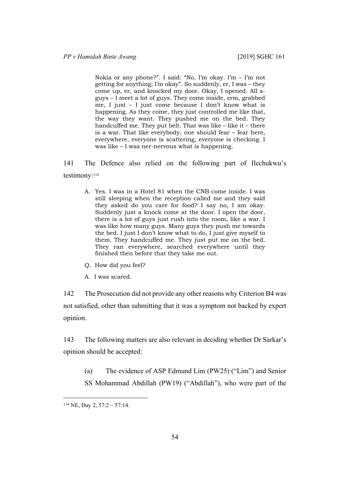Nokia or any phone?". I said: "No, I'm okay. I'm – I'm not getting for anything; I'm okay". So suddenly, er, I was – they come up, er, and knocked my door. Okay, I opened. All sguys – I meet a lot of guys. They come inside, erm, grabbed me, I just – I just come because I don't know what is happening. As they come, they just controlled me like that, the way they want. They pushed me on the bed. They handcuffed me. They put belt. That was like – like it – there is a war. That like everybody, one should fear – fear here, everywhere, everyone is scattering, everyone is checking. I was like – I was ner-nervous what is happening.

141 The Defence also relied on the following part of Ilechukwu's testimony:<sup>114</sup>

- A. Yes. I was in a Hotel 81 when the CNB come inside. I was still sleeping when the reception called me and they said they asked do you care for food? I say no, I am okay. Suddenly just a knock come at the door. I open the door, there is a lot of guys just rush into the room, like a war. I was like how many guys. Many guys they push me towards the bed. I just I don't know what to do, I just give myself to them. They handcuffed me. They just put me on the bed. They ran everywhere, searched everywhere until they finished then before that they take me out.
- Q. How did you feel?
- A. I was scared.

142 The Prosecution did not provide any other reasons why Criterion B4 was not satisfied, other than submitting that it was a symptom not backed by expert opinion.

143 The following matters are also relevant in deciding whether Dr Sarkar's opinion should be accepted:

(a) The evidence of ASP Edmund Lim (PW25) ("Lim") and Senior

SS Mohammad Abdillah (PW19) ("Abdillah"), who were part of the

 $114$  NE, Day 2,  $57:2 - 57:14$ .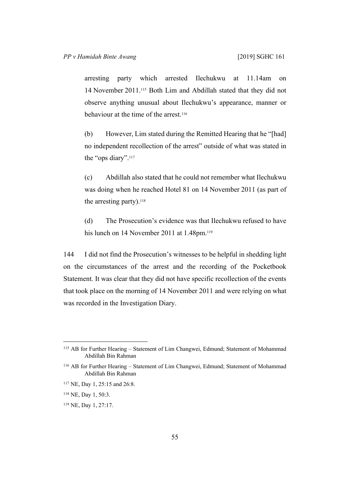arresting party which arrested Ilechukwu at 11.14am on 14 November 2011.115 Both Lim and Abdillah stated that they did not observe anything unusual about Ilechukwu's appearance, manner or behaviour at the time of the arrest.<sup>116</sup>

(b) However, Lim stated during the Remitted Hearing that he "[had] no independent recollection of the arrest" outside of what was stated in the "ops diary".<sup>117</sup>

(c) Abdillah also stated that he could not remember what Ilechukwu was doing when he reached Hotel 81 on 14 November 2011 (as part of the arresting party).<sup>118</sup>

(d) The Prosecution's evidence was that Ilechukwu refused to have his lunch on 14 November 2011 at 1.48pm.<sup>119</sup>

144 I did not find the Prosecution's witnesses to be helpful in shedding light on the circumstances of the arrest and the recording of the Pocketbook Statement. It was clear that they did not have specific recollection of the events that took place on the morning of 14 November 2011 and were relying on what was recorded in the Investigation Diary.

<sup>115</sup> AB for Further Hearing – Statement of Lim Changwei, Edmund; Statement of Mohammad Abdillah Bin Rahman

<sup>116</sup> AB for Further Hearing – Statement of Lim Changwei, Edmund; Statement of Mohammad Abdillah Bin Rahman

<sup>117</sup> NE, Day 1, 25:15 and 26:8.

<sup>118</sup> NE, Day 1, 50:3.

<sup>119</sup> NE, Day 1, 27:17.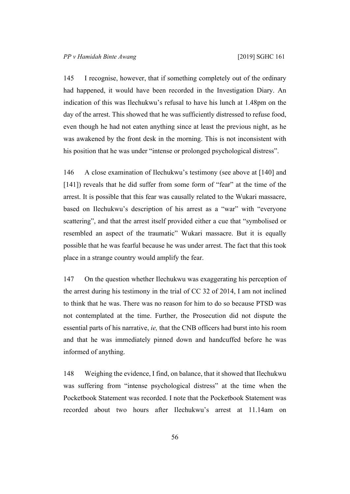145 I recognise, however, that if something completely out of the ordinary had happened, it would have been recorded in the Investigation Diary. An indication of this was Ilechukwu's refusal to have his lunch at 1.48pm on the day of the arrest. This showed that he was sufficiently distressed to refuse food, even though he had not eaten anything since at least the previous night, as he was awakened by the front desk in the morning. This is not inconsistent with his position that he was under "intense or prolonged psychological distress".

146 A close examination of Ilechukwu's testimony (see above at [140] and [141]) reveals that he did suffer from some form of "fear" at the time of the arrest. It is possible that this fear was causally related to the Wukari massacre, based on Ilechukwu's description of his arrest as a "war" with "everyone scattering", and that the arrest itself provided either a cue that "symbolised or resembled an aspect of the traumatic" Wukari massacre. But it is equally possible that he was fearful because he was under arrest. The fact that this took place in a strange country would amplify the fear.

147 On the question whether Ilechukwu was exaggerating his perception of the arrest during his testimony in the trial of CC 32 of 2014, I am not inclined to think that he was. There was no reason for him to do so because PTSD was not contemplated at the time. Further, the Prosecution did not dispute the essential parts of his narrative, *ie,* that the CNB officers had burst into his room and that he was immediately pinned down and handcuffed before he was informed of anything.

148 Weighing the evidence, I find, on balance, that it showed that Ilechukwu was suffering from "intense psychological distress" at the time when the Pocketbook Statement was recorded. I note that the Pocketbook Statement was recorded about two hours after Ilechukwu's arrest at 11.14am on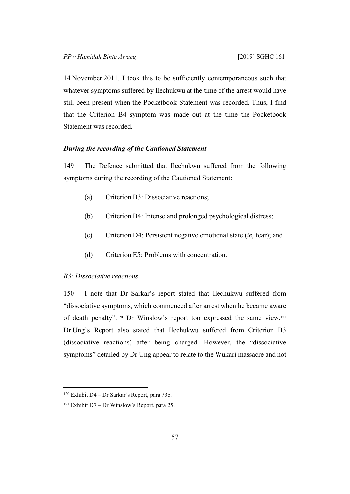14 November 2011. I took this to be sufficiently contemporaneous such that whatever symptoms suffered by Ilechukwu at the time of the arrest would have still been present when the Pocketbook Statement was recorded. Thus, I find that the Criterion B4 symptom was made out at the time the Pocketbook Statement was recorded.

# *During the recording of the Cautioned Statement*

149 The Defence submitted that Ilechukwu suffered from the following symptoms during the recording of the Cautioned Statement:

- (a) Criterion B3: Dissociative reactions;
- (b) Criterion B4: Intense and prolonged psychological distress;
- (c) Criterion D4: Persistent negative emotional state (*ie*, fear); and
- (d) Criterion E5: Problems with concentration.

### *B3: Dissociative reactions*

150 I note that Dr Sarkar's report stated that Ilechukwu suffered from "dissociative symptoms, which commenced after arrest when he became aware of death penalty".120 Dr Winslow's report too expressed the same view.<sup>121</sup> Dr Ung's Report also stated that Ilechukwu suffered from Criterion B3 (dissociative reactions) after being charged. However, the "dissociative symptoms" detailed by Dr Ung appear to relate to the Wukari massacre and not

<sup>120</sup> Exhibit D4 – Dr Sarkar's Report, para 73b.

<sup>121</sup> Exhibit D7 – Dr Winslow's Report, para 25.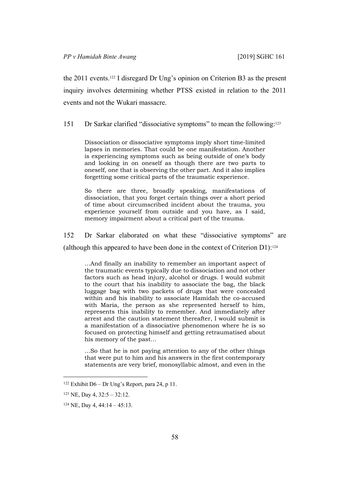the 2011 events.122 I disregard Dr Ung's opinion on Criterion B3 as the present inquiry involves determining whether PTSS existed in relation to the 2011 events and not the Wukari massacre.

151 Dr Sarkar clarified "dissociative symptoms" to mean the following:<sup>123</sup>

Dissociation or dissociative symptoms imply short time-limited lapses in memories. That could be one manifestation. Another is experiencing symptoms such as being outside of one's body and looking in on oneself as though there are two parts to oneself, one that is observing the other part. And it also implies forgetting some critical parts of the traumatic experience.

So there are three, broadly speaking, manifestations of dissociation, that you forget certain things over a short period of time about circumscribed incident about the trauma, you experience yourself from outside and you have, as I said, memory impairment about a critical part of the trauma.

152 Dr Sarkar elaborated on what these "dissociative symptoms" are (although this appeared to have been done in the context of Criterion D1):<sup>124</sup>

…And finally an inability to remember an important aspect of the traumatic events typically due to dissociation and not other factors such as head injury, alcohol or drugs. I would submit to the court that his inability to associate the bag, the black luggage bag with two packets of drugs that were concealed within and his inability to associate Hamidah the co-accused with Maria, the person as she represented herself to him, represents this inability to remember. And immediately after arrest and the caution statement thereafter, I would submit is a manifestation of a dissociative phenomenon where he is so focused on protecting himself and getting retraumatised about his memory of the past…

…So that he is not paying attention to any of the other things that were put to him and his answers in the first contemporary statements are very brief, monosyllabic almost, and even in the

<sup>122</sup> Exhibit D6 – Dr Ung's Report, para 24, p 11.

<sup>123</sup> NE, Day 4, 32:5 – 32:12.

 $124$  NE, Day 4, 44:14 – 45:13.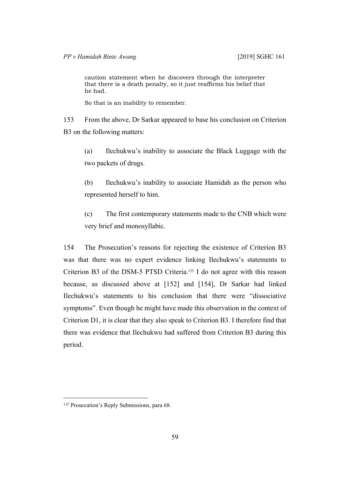caution statement when he discovers through the interpreter that there is a death penalty, so it just reaffirms his belief that he had.

So that is an inability to remember.

153 From the above, Dr Sarkar appeared to base his conclusion on Criterion B3 on the following matters:

(a) Ilechukwu's inability to associate the Black Luggage with the two packets of drugs.

(b) Ilechukwu's inability to associate Hamidah as the person who represented herself to him.

(c) The first contemporary statements made to the CNB which were very brief and monosyllabic.

154 The Prosecution's reasons for rejecting the existence of Criterion B3 was that there was no expert evidence linking Ilechukwu's statements to Criterion B3 of the DSM-5 PTSD Criteria.<sup>125</sup> I do not agree with this reason because, as discussed above at [152] and [154], Dr Sarkar had linked Ilechukwu's statements to his conclusion that there were "dissociative symptoms". Even though he might have made this observation in the context of Criterion D1, it is clear that they also speak to Criterion B3. I therefore find that there was evidence that Ilechukwu had suffered from Criterion B3 during this period.

<sup>&</sup>lt;sup>125</sup> Prosecution's Reply Submissions, para 68.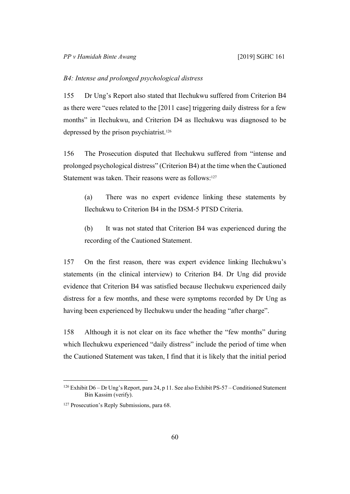### *B4: Intense and prolonged psychological distress*

155 Dr Ung's Report also stated that Ilechukwu suffered from Criterion B4 as there were "cues related to the [2011 case] triggering daily distress for a few months" in Ilechukwu, and Criterion D4 as Ilechukwu was diagnosed to be depressed by the prison psychiatrist.<sup>126</sup>

156 The Prosecution disputed that Ilechukwu suffered from "intense and prolonged psychological distress" (Criterion B4) at the time when the Cautioned Statement was taken. Their reasons were as follows:<sup>127</sup>

(a) There was no expert evidence linking these statements by Ilechukwu to Criterion B4 in the DSM-5 PTSD Criteria.

(b) It was not stated that Criterion B4 was experienced during the recording of the Cautioned Statement.

157 On the first reason, there was expert evidence linking Ilechukwu's statements (in the clinical interview) to Criterion B4. Dr Ung did provide evidence that Criterion B4 was satisfied because Ilechukwu experienced daily distress for a few months, and these were symptoms recorded by Dr Ung as having been experienced by Ilechukwu under the heading "after charge".

158 Although it is not clear on its face whether the "few months" during which Ilechukwu experienced "daily distress" include the period of time when the Cautioned Statement was taken, I find that it is likely that the initial period

<sup>126</sup> Exhibit D6 – Dr Ung's Report, para 24, p 11. See also Exhibit PS-57 – Conditioned Statement Bin Kassim (verify).

<sup>&</sup>lt;sup>127</sup> Prosecution's Reply Submissions, para 68.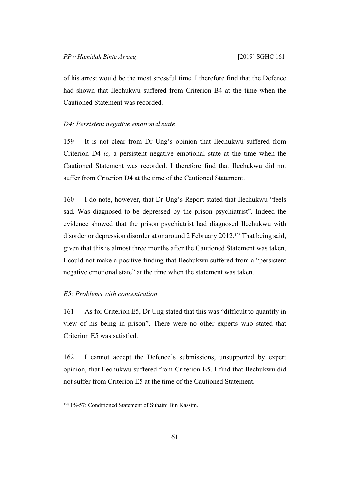of his arrest would be the most stressful time. I therefore find that the Defence had shown that Ilechukwu suffered from Criterion B4 at the time when the Cautioned Statement was recorded.

#### *D4: Persistent negative emotional state*

159 It is not clear from Dr Ung's opinion that Ilechukwu suffered from Criterion D4 *ie,* a persistent negative emotional state at the time when the Cautioned Statement was recorded. I therefore find that Ilechukwu did not suffer from Criterion D4 at the time of the Cautioned Statement.

160 I do note, however, that Dr Ung's Report stated that Ilechukwu "feels sad. Was diagnosed to be depressed by the prison psychiatrist". Indeed the evidence showed that the prison psychiatrist had diagnosed Ilechukwu with disorder or depression disorder at or around 2 February 2012.128 That being said, given that this is almost three months after the Cautioned Statement was taken, I could not make a positive finding that Ilechukwu suffered from a "persistent negative emotional state" at the time when the statement was taken.

# *E5: Problems with concentration*

161 As for Criterion E5, Dr Ung stated that this was "difficult to quantify in view of his being in prison". There were no other experts who stated that Criterion E5 was satisfied.

162 I cannot accept the Defence's submissions, unsupported by expert opinion, that Ilechukwu suffered from Criterion E5. I find that Ilechukwu did not suffer from Criterion E5 at the time of the Cautioned Statement.

<sup>128</sup> PS-57: Conditioned Statement of Suhaini Bin Kassim.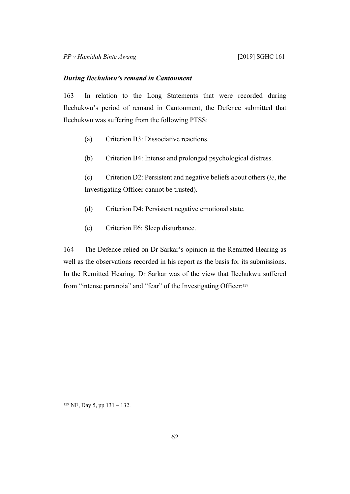#### *During Ilechukwu's remand in Cantonment*

163 In relation to the Long Statements that were recorded during Ilechukwu's period of remand in Cantonment, the Defence submitted that Ilechukwu was suffering from the following PTSS:

- (a) Criterion B3: Dissociative reactions.
- (b) Criterion B4: Intense and prolonged psychological distress.

(c) Criterion D2: Persistent and negative beliefs about others (*ie*, the Investigating Officer cannot be trusted).

- (d) Criterion D4: Persistent negative emotional state.
- (e) Criterion E6: Sleep disturbance.

164 The Defence relied on Dr Sarkar's opinion in the Remitted Hearing as well as the observations recorded in his report as the basis for its submissions. In the Remitted Hearing, Dr Sarkar was of the view that Ilechukwu suffered from "intense paranoia" and "fear" of the Investigating Officer:<sup>129</sup>

<sup>129</sup> NE, Day 5, pp 131 – 132.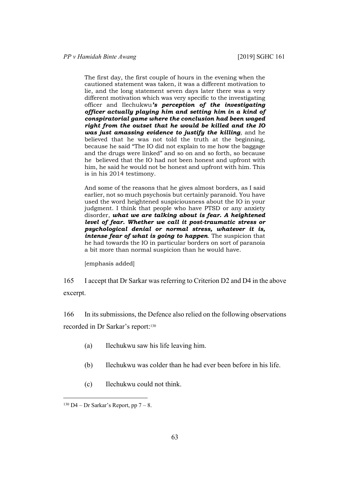The first day, the first couple of hours in the evening when the cautioned statement was taken, it was a different motivation to lie, and the long statement seven days later there was a very different motivation which was very specific to the investigating officer and Ilechukwu*'s perception of the investigating officer actually playing him and setting him in a kind of conspiratorial game where the conclusion had been waged right from the outset that he would be killed and the IO was just amassing evidence to justify the killing*, and he believed that he was not told the truth at the beginning, because he said "The IO did not explain to me how the baggage and the drugs were linked" and so on and so forth, so because he believed that the IO had not been honest and upfront with him, he said he would not be honest and upfront with him. This is in his 2014 testimony.

And some of the reasons that he gives almost borders, as I said earlier, not so much psychosis but certainly paranoid. You have used the word heightened suspiciousness about the IO in your judgment. I think that people who have PTSD or any anxiety disorder, *what we are talking about is fear. A heightened level of fear. Whether we call it post-traumatic stress or psychological denial or normal stress, whatever it is, intense fear of what is going to happen*. The suspicion that he had towards the IO in particular borders on sort of paranoia a bit more than normal suspicion than he would have.

[emphasis added]

165 I accept that Dr Sarkar was referring to Criterion D2 and D4 in the above excerpt.

166 In its submissions, the Defence also relied on the following observations recorded in Dr Sarkar's report:<sup>130</sup>

- (a) Ilechukwu saw his life leaving him.
- (b) Ilechukwu was colder than he had ever been before in his life.
- (c) Ilechukwu could not think.

 $130$  D4 – Dr Sarkar's Report, pp  $7 - 8$ .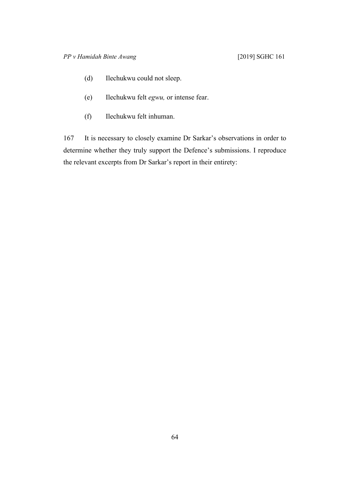- (d) Ilechukwu could not sleep.
- (e) Ilechukwu felt *egwu,* or intense fear.
- (f) Ilechukwu felt inhuman.

167 It is necessary to closely examine Dr Sarkar's observations in order to determine whether they truly support the Defence's submissions. I reproduce the relevant excerpts from Dr Sarkar's report in their entirety: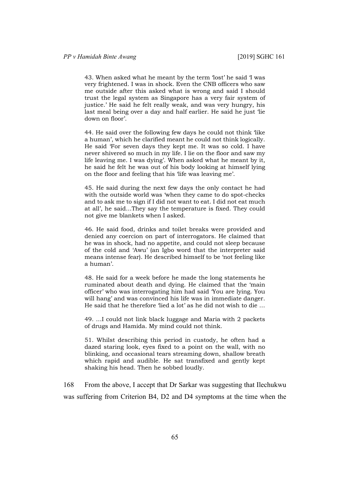43. When asked what he meant by the term 'lost' he said 'I was very frightened. I was in shock. Even the CNB officers who saw me outside after this asked what is wrong and said I should trust the legal system as Singapore has a very fair system of justice.' He said he felt really weak, and was very hungry, his last meal being over a day and half earlier. He said he just 'lie down on floor'.

44. He said over the following few days he could not think 'like a human', which he clarified meant he could not think logically. He said 'For seven days they kept me. It was so cold. I have never shivered so much in my life. I lie on the floor and saw my life leaving me. I was dying'. When asked what he meant by it, he said he felt he was out of his body looking at himself lying on the floor and feeling that his 'life was leaving me'.

45. He said during the next few days the only contact he had with the outside world was 'when they came to do spot-checks and to ask me to sign if I did not want to eat. I did not eat much at all', he said…They say the temperature is fixed. They could not give me blankets when I asked.

46. He said food, drinks and toilet breaks were provided and denied any coercion on part of interrogators. He claimed that he was in shock, had no appetite, and could not sleep because of the cold and 'Awu' (an Igbo word that the interpreter said means intense fear). He described himself to be 'not feeling like a human'.

48. He said for a week before he made the long statements he ruminated about death and dying. He claimed that the 'main officer' who was interrogating him had said 'You are lying. You will hang' and was convinced his life was in immediate danger. He said that he therefore 'lied a lot' as he did not wish to die …

49. …I could not link black luggage and Maria with 2 packets of drugs and Hamida. My mind could not think.

51. Whilst describing this period in custody, he often had a dazed staring look, eyes fixed to a point on the wall, with no blinking, and occasional tears streaming down, shallow breath which rapid and audible. He sat transfixed and gently kept shaking his head. Then he sobbed loudly.

168 From the above, I accept that Dr Sarkar was suggesting that Ilechukwu was suffering from Criterion B4, D2 and D4 symptoms at the time when the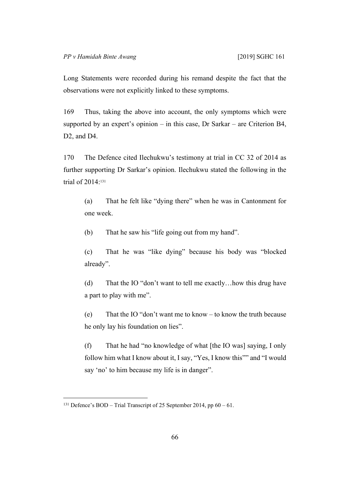Long Statements were recorded during his remand despite the fact that the observations were not explicitly linked to these symptoms.

169 Thus, taking the above into account, the only symptoms which were supported by an expert's opinion – in this case, Dr Sarkar – are Criterion B4, D<sub>2</sub>, and D<sub>4</sub>.

170 The Defence cited Ilechukwu's testimony at trial in CC 32 of 2014 as further supporting Dr Sarkar's opinion. Ilechukwu stated the following in the trial of 2014:<sup>131</sup>

(a) That he felt like "dying there" when he was in Cantonment for one week.

(b) That he saw his "life going out from my hand".

(c) That he was "like dying" because his body was "blocked already".

(d) That the IO "don't want to tell me exactly…how this drug have a part to play with me".

(e) That the IO "don't want me to know – to know the truth because he only lay his foundation on lies".

(f) That he had "no knowledge of what [the IO was] saying, I only follow him what I know about it, I say, "Yes, I know this"" and "I would say 'no' to him because my life is in danger".

<sup>131</sup> Defence's BOD – Trial Transcript of 25 September 2014, pp 60 – 61.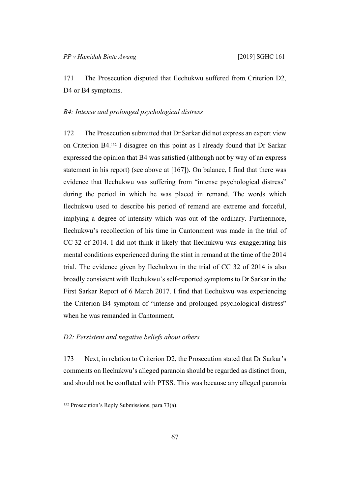171 The Prosecution disputed that Ilechukwu suffered from Criterion D2, D4 or B4 symptoms.

### *B4: Intense and prolonged psychological distress*

172 The Prosecution submitted that Dr Sarkar did not express an expert view on Criterion B4.132 I disagree on this point as I already found that Dr Sarkar expressed the opinion that B4 was satisfied (although not by way of an express statement in his report) (see above at [167]). On balance, I find that there was evidence that Ilechukwu was suffering from "intense psychological distress" during the period in which he was placed in remand. The words which Ilechukwu used to describe his period of remand are extreme and forceful, implying a degree of intensity which was out of the ordinary. Furthermore, Ilechukwu's recollection of his time in Cantonment was made in the trial of CC 32 of 2014. I did not think it likely that Ilechukwu was exaggerating his mental conditions experienced during the stint in remand at the time of the 2014 trial. The evidence given by Ilechukwu in the trial of CC 32 of 2014 is also broadly consistent with Ilechukwu's self-reported symptoms to Dr Sarkar in the First Sarkar Report of 6 March 2017. I find that Ilechukwu was experiencing the Criterion B4 symptom of "intense and prolonged psychological distress" when he was remanded in Cantonment.

# *D2: Persistent and negative beliefs about others*

173 Next, in relation to Criterion D2, the Prosecution stated that Dr Sarkar's comments on Ilechukwu's alleged paranoia should be regarded as distinct from, and should not be conflated with PTSS. This was because any alleged paranoia

<sup>132</sup> Prosecution's Reply Submissions, para 73(a).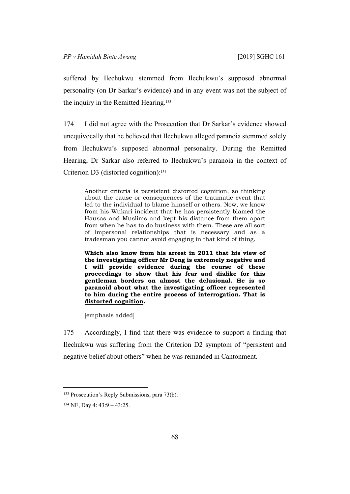suffered by Ilechukwu stemmed from Ilechukwu's supposed abnormal personality (on Dr Sarkar's evidence) and in any event was not the subject of the inquiry in the Remitted Hearing.<sup>133</sup>

174 I did not agree with the Prosecution that Dr Sarkar's evidence showed unequivocally that he believed that Ilechukwu alleged paranoia stemmed solely from Ilechukwu's supposed abnormal personality. During the Remitted Hearing, Dr Sarkar also referred to Ilechukwu's paranoia in the context of Criterion D3 (distorted cognition):<sup>134</sup>

Another criteria is persistent distorted cognition, so thinking about the cause or consequences of the traumatic event that led to the individual to blame himself or others. Now, we know from his Wukari incident that he has persistently blamed the Hausas and Muslims and kept his distance from them apart from when he has to do business with them. These are all sort of impersonal relationships that is necessary and as a tradesman you cannot avoid engaging in that kind of thing.

**Which also know from his arrest in 2011 that his view of the investigating officer Mr Deng is extremely negative and I will provide evidence during the course of these proceedings to show that his fear and dislike for this gentleman borders on almost the delusional. He is so paranoid about what the investigating officer represented to him during the entire process of interrogation. That is distorted cognition.**

[emphasis added]

175 Accordingly, I find that there was evidence to support a finding that Ilechukwu was suffering from the Criterion D2 symptom of "persistent and negative belief about others" when he was remanded in Cantonment.

<sup>133</sup> Prosecution's Reply Submissions, para 73(b).

<sup>134</sup> NE, Day 4: 43:9 – 43:25.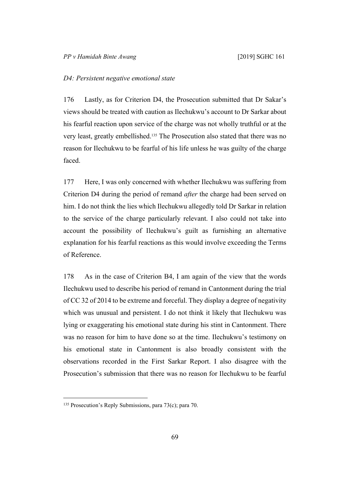#### *D4: Persistent negative emotional state*

176 Lastly, as for Criterion D4, the Prosecution submitted that Dr Sakar's views should be treated with caution as Ilechukwu's account to Dr Sarkar about his fearful reaction upon service of the charge was not wholly truthful or at the very least, greatly embellished.135 The Prosecution also stated that there was no reason for Ilechukwu to be fearful of his life unless he was guilty of the charge faced.

177 Here, I was only concerned with whether Ilechukwu was suffering from Criterion D4 during the period of remand *after* the charge had been served on him. I do not think the lies which Ilechukwu allegedly told Dr Sarkar in relation to the service of the charge particularly relevant. I also could not take into account the possibility of Ilechukwu's guilt as furnishing an alternative explanation for his fearful reactions as this would involve exceeding the Terms of Reference.

178 As in the case of Criterion B4, I am again of the view that the words Ilechukwu used to describe his period of remand in Cantonment during the trial of CC 32 of 2014 to be extreme and forceful. They display a degree of negativity which was unusual and persistent. I do not think it likely that Ilechukwu was lying or exaggerating his emotional state during his stint in Cantonment. There was no reason for him to have done so at the time. Ilechukwu's testimony on his emotional state in Cantonment is also broadly consistent with the observations recorded in the First Sarkar Report. I also disagree with the Prosecution's submission that there was no reason for Ilechukwu to be fearful

<sup>135</sup> Prosecution's Reply Submissions, para 73(c); para 70.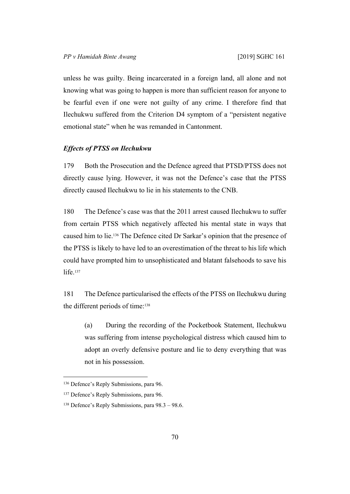unless he was guilty. Being incarcerated in a foreign land, all alone and not knowing what was going to happen is more than sufficient reason for anyone to be fearful even if one were not guilty of any crime. I therefore find that Ilechukwu suffered from the Criterion D4 symptom of a "persistent negative emotional state" when he was remanded in Cantonment.

# *Effects of PTSS on Ilechukwu*

179 Both the Prosecution and the Defence agreed that PTSD/PTSS does not directly cause lying. However, it was not the Defence's case that the PTSS directly caused Ilechukwu to lie in his statements to the CNB.

180 The Defence's case was that the 2011 arrest caused Ilechukwu to suffer from certain PTSS which negatively affected his mental state in ways that caused him to lie.136 The Defence cited Dr Sarkar's opinion that the presence of the PTSS is likely to have led to an overestimation of the threat to his life which could have prompted him to unsophisticated and blatant falsehoods to save his life.<sup>137</sup>

181 The Defence particularised the effects of the PTSS on Ilechukwu during the different periods of time:<sup>138</sup>

(a) During the recording of the Pocketbook Statement, Ilechukwu was suffering from intense psychological distress which caused him to adopt an overly defensive posture and lie to deny everything that was not in his possession.

<sup>136</sup> Defence's Reply Submissions, para 96.

<sup>&</sup>lt;sup>137</sup> Defence's Reply Submissions, para 96.

<sup>138</sup> Defence's Reply Submissions, para 98.3 – 98.6.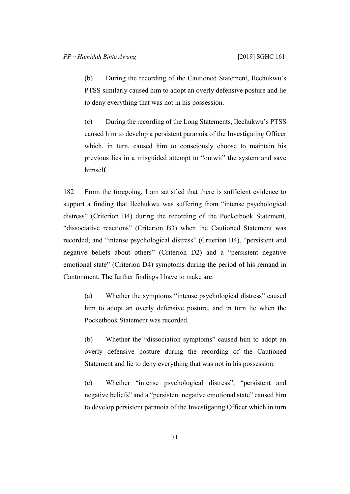(b) During the recording of the Cautioned Statement, Ilechukwu's PTSS similarly caused him to adopt an overly defensive posture and lie to deny everything that was not in his possession.

(c) During the recording of the Long Statements, Ilechukwu's PTSS caused him to develop a persistent paranoia of the Investigating Officer which, in turn, caused him to consciously choose to maintain his previous lies in a misguided attempt to "outwit" the system and save himself.

182 From the foregoing, I am satisfied that there is sufficient evidence to support a finding that Ilechukwu was suffering from "intense psychological distress" (Criterion B4) during the recording of the Pocketbook Statement, "dissociative reactions" (Criterion B3) when the Cautioned Statement was recorded; and "intense psychological distress" (Criterion B4), "persistent and negative beliefs about others" (Criterion D2) and a "persistent negative emotional state" (Criterion D4) symptoms during the period of his remand in Cantonment. The further findings I have to make are:

(a) Whether the symptoms "intense psychological distress" caused him to adopt an overly defensive posture, and in turn lie when the Pocketbook Statement was recorded.

(b) Whether the "dissociation symptoms" caused him to adopt an overly defensive posture during the recording of the Cautioned Statement and lie to deny everything that was not in his possession.

(c) Whether "intense psychological distress", "persistent and negative beliefs" and a "persistent negative emotional state" caused him to develop persistent paranoia of the Investigating Officer which in turn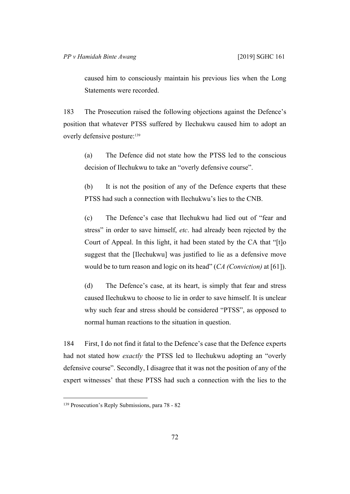caused him to consciously maintain his previous lies when the Long Statements were recorded.

183 The Prosecution raised the following objections against the Defence's position that whatever PTSS suffered by Ilechukwu caused him to adopt an overly defensive posture:<sup>139</sup>

(a) The Defence did not state how the PTSS led to the conscious decision of Ilechukwu to take an "overly defensive course".

(b) It is not the position of any of the Defence experts that these PTSS had such a connection with Ilechukwu's lies to the CNB.

(c) The Defence's case that Ilechukwu had lied out of "fear and stress" in order to save himself, *etc*. had already been rejected by the Court of Appeal. In this light, it had been stated by the CA that "[t]o suggest that the [Ilechukwu] was justified to lie as a defensive move would be to turn reason and logic on its head" (*CA (Conviction)* at [61]).

(d) The Defence's case, at its heart, is simply that fear and stress caused Ilechukwu to choose to lie in order to save himself. It is unclear why such fear and stress should be considered "PTSS", as opposed to normal human reactions to the situation in question.

184 First, I do not find it fatal to the Defence's case that the Defence experts had not stated how *exactly* the PTSS led to Ilechukwu adopting an "overly defensive course". Secondly, I disagree that it was not the position of any of the expert witnesses' that these PTSS had such a connection with the lies to the

<sup>139</sup> Prosecution's Reply Submissions, para 78 - 82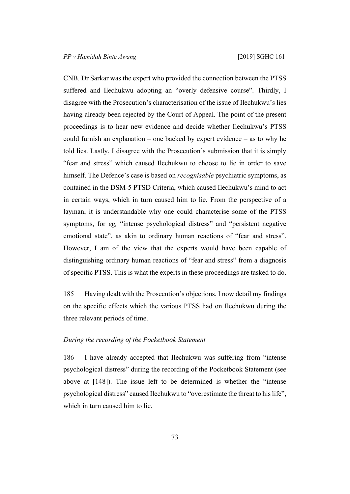CNB. Dr Sarkar was the expert who provided the connection between the PTSS suffered and Ilechukwu adopting an "overly defensive course". Thirdly, I disagree with the Prosecution's characterisation of the issue of Ilechukwu's lies having already been rejected by the Court of Appeal. The point of the present proceedings is to hear new evidence and decide whether Ilechukwu's PTSS could furnish an explanation – one backed by expert evidence – as to why he told lies. Lastly, I disagree with the Prosecution's submission that it is simply "fear and stress" which caused Ilechukwu to choose to lie in order to save himself. The Defence's case is based on *recognisable* psychiatric symptoms, as contained in the DSM-5 PTSD Criteria, which caused Ilechukwu's mind to act in certain ways, which in turn caused him to lie. From the perspective of a layman, it is understandable why one could characterise some of the PTSS symptoms, for *eg,* "intense psychological distress" and "persistent negative emotional state", as akin to ordinary human reactions of "fear and stress". However, I am of the view that the experts would have been capable of distinguishing ordinary human reactions of "fear and stress" from a diagnosis of specific PTSS. This is what the experts in these proceedings are tasked to do.

185 Having dealt with the Prosecution's objections, I now detail my findings on the specific effects which the various PTSS had on Ilechukwu during the three relevant periods of time.

# *During the recording of the Pocketbook Statement*

186 I have already accepted that Ilechukwu was suffering from "intense psychological distress" during the recording of the Pocketbook Statement (see above at [148]). The issue left to be determined is whether the "intense psychological distress" caused Ilechukwu to "overestimate the threat to his life", which in turn caused him to lie.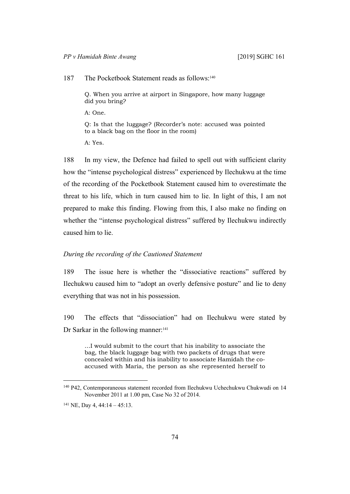187 The Pocketbook Statement reads as follows:<sup>140</sup>

Q. When you arrive at airport in Singapore, how many luggage did you bring?

A: One.

Q: Is that the luggage? (Recorder's note: accused was pointed to a black bag on the floor in the room)

A: Yes.

188 In my view, the Defence had failed to spell out with sufficient clarity how the "intense psychological distress" experienced by Ilechukwu at the time of the recording of the Pocketbook Statement caused him to overestimate the threat to his life, which in turn caused him to lie. In light of this, I am not prepared to make this finding. Flowing from this, I also make no finding on whether the "intense psychological distress" suffered by Ilechukwu indirectly caused him to lie.

### *During the recording of the Cautioned Statement*

189 The issue here is whether the "dissociative reactions" suffered by Ilechukwu caused him to "adopt an overly defensive posture" and lie to deny everything that was not in his possession.

190 The effects that "dissociation" had on Ilechukwu were stated by Dr Sarkar in the following manner:<sup>141</sup>

…I would submit to the court that his inability to associate the bag, the black luggage bag with two packets of drugs that were concealed within and his inability to associate Hamidah the coaccused with Maria, the person as she represented herself to

<sup>140</sup> P42, Contemporaneous statement recorded from Ilechukwu Uchechukwu Chukwudi on 14 November 2011 at 1.00 pm, Case No 32 of 2014.

 $141$  NE, Day 4, 44:14 – 45:13.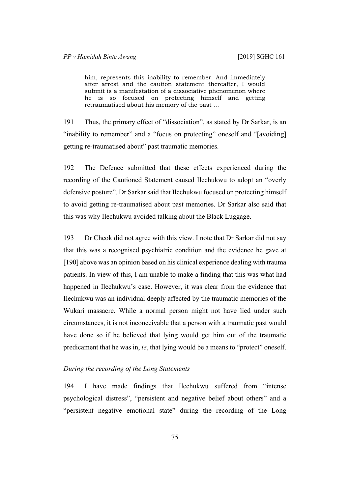him, represents this inability to remember. And immediately after arrest and the caution statement thereafter, I would submit is a manifestation of a dissociative phenomenon where he is so focused on protecting himself and getting retraumatised about his memory of the past …

191 Thus, the primary effect of "dissociation", as stated by Dr Sarkar, is an "inability to remember" and a "focus on protecting" oneself and "[avoiding] getting re-traumatised about" past traumatic memories.

192 The Defence submitted that these effects experienced during the recording of the Cautioned Statement caused Ilechukwu to adopt an "overly defensive posture". Dr Sarkar said that Ilechukwu focused on protecting himself to avoid getting re-traumatised about past memories. Dr Sarkar also said that this was why Ilechukwu avoided talking about the Black Luggage.

193 Dr Cheok did not agree with this view. I note that Dr Sarkar did not say that this was a recognised psychiatric condition and the evidence he gave at [190] above was an opinion based on his clinical experience dealing with trauma patients. In view of this, I am unable to make a finding that this was what had happened in Ilechukwu's case. However, it was clear from the evidence that Ilechukwu was an individual deeply affected by the traumatic memories of the Wukari massacre. While a normal person might not have lied under such circumstances, it is not inconceivable that a person with a traumatic past would have done so if he believed that lying would get him out of the traumatic predicament that he was in, *ie*, that lying would be a means to "protect" oneself.

#### *During the recording of the Long Statements*

194 I have made findings that Ilechukwu suffered from "intense psychological distress", "persistent and negative belief about others" and a "persistent negative emotional state" during the recording of the Long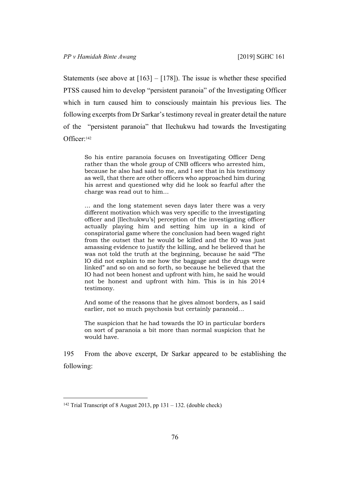Statements (see above at  $[163] - [178]$ ). The issue is whether these specified PTSS caused him to develop "persistent paranoia" of the Investigating Officer which in turn caused him to consciously maintain his previous lies. The following excerpts from Dr Sarkar's testimony reveal in greater detail the nature of the "persistent paranoia" that Ilechukwu had towards the Investigating Officer:<sup>142</sup>

So his entire paranoia focuses on Investigating Officer Deng rather than the whole group of CNB officers who arrested him, because he also had said to me, and I see that in his testimony as well, that there are other officers who approached him during his arrest and questioned why did he look so fearful after the charge was read out to him…

… and the long statement seven days later there was a very different motivation which was very specific to the investigating officer and [Ilechukwu's] perception of the investigating officer actually playing him and setting him up in a kind of conspiratorial game where the conclusion had been waged right from the outset that he would be killed and the IO was just amassing evidence to justify the killing, and he believed that he was not told the truth at the beginning, because he said "The IO did not explain to me how the baggage and the drugs were linked" and so on and so forth, so because he believed that the IO had not been honest and upfront with him, he said he would not be honest and upfront with him. This is in his 2014 testimony.

And some of the reasons that he gives almost borders, as I said earlier, not so much psychosis but certainly paranoid…

The suspicion that he had towards the IO in particular borders on sort of paranoia a bit more than normal suspicion that he would have.

195 From the above excerpt, Dr Sarkar appeared to be establishing the following:

<sup>142</sup> Trial Transcript of 8 August 2013, pp 131 – 132. (double check)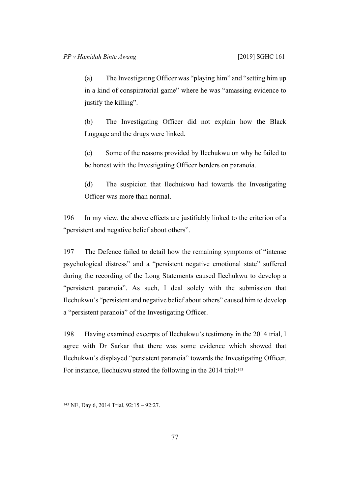(a) The Investigating Officer was "playing him" and "setting him up in a kind of conspiratorial game" where he was "amassing evidence to justify the killing".

(b) The Investigating Officer did not explain how the Black Luggage and the drugs were linked.

(c) Some of the reasons provided by Ilechukwu on why he failed to be honest with the Investigating Officer borders on paranoia.

(d) The suspicion that Ilechukwu had towards the Investigating Officer was more than normal.

196 In my view, the above effects are justifiably linked to the criterion of a "persistent and negative belief about others".

197 The Defence failed to detail how the remaining symptoms of "intense psychological distress" and a "persistent negative emotional state" suffered during the recording of the Long Statements caused Ilechukwu to develop a "persistent paranoia". As such, I deal solely with the submission that Ilechukwu's "persistent and negative belief about others" caused him to develop a "persistent paranoia" of the Investigating Officer.

198 Having examined excerpts of Ilechukwu's testimony in the 2014 trial, I agree with Dr Sarkar that there was some evidence which showed that Ilechukwu's displayed "persistent paranoia" towards the Investigating Officer. For instance, Ilechukwu stated the following in the 2014 trial:<sup>143</sup>

<sup>143</sup> NE, Day 6, 2014 Trial, 92:15 – 92:27.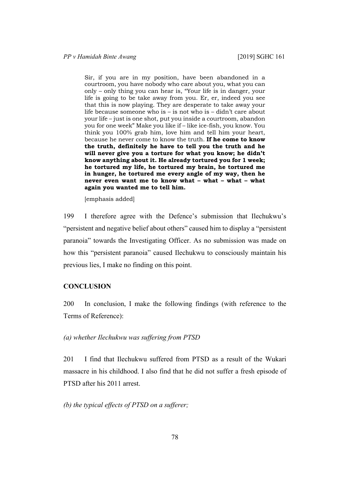Sir, if you are in my position, have been abandoned in a courtroom, you have nobody who care about you, what you can only – only thing you can hear is, "Your life is in danger, your life is going to be take away from you. Er, er, indeed you see that this is now playing. They are desperate to take away your life because someone who is – is not who is – didn't care about your life – just is one shot, put you inside a courtroom, abandon you for one week" Make you like if – like ice-fish, you know. You think you 100% grab him, love him and tell him your heart, because he never come to know the truth. **If he come to know the truth, definitely he have to tell you the truth and he will never give you a torture for what you know; he didn't know anything about it. He already tortured you for 1 week; he tortured my life, he tortured my brain, he tortured me in hunger, he tortured me every angle of my way, then he never even want me to know what – what – what – what again you wanted me to tell him.**

[emphasis added]

199 I therefore agree with the Defence's submission that Ilechukwu's "persistent and negative belief about others" caused him to display a "persistent paranoia" towards the Investigating Officer. As no submission was made on how this "persistent paranoia" caused Ilechukwu to consciously maintain his previous lies, I make no finding on this point.

# **CONCLUSION**

200 In conclusion, I make the following findings (with reference to the Terms of Reference):

*(a) whether Ilechukwu was suffering from PTSD*

201 I find that Ilechukwu suffered from PTSD as a result of the Wukari massacre in his childhood. I also find that he did not suffer a fresh episode of PTSD after his 2011 arrest.

*(b) the typical effects of PTSD on a sufferer;*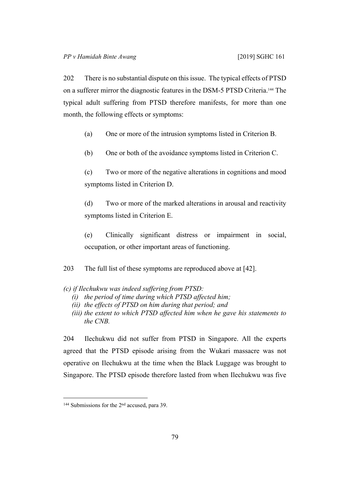202 There is no substantial dispute on this issue. The typical effects of PTSD on a sufferer mirror the diagnostic features in the DSM-5 PTSD Criteria.144 The typical adult suffering from PTSD therefore manifests, for more than one month, the following effects or symptoms:

- (a) One or more of the intrusion symptoms listed in Criterion B.
- (b) One or both of the avoidance symptoms listed in Criterion C.

(c) Two or more of the negative alterations in cognitions and mood symptoms listed in Criterion D.

(d) Two or more of the marked alterations in arousal and reactivity symptoms listed in Criterion E.

(e) Clinically significant distress or impairment in social, occupation, or other important areas of functioning.

203 The full list of these symptoms are reproduced above at [42].

- *(c) if Ilechukwu was indeed suffering from PTSD:*
	- *(i) the period of time during which PTSD affected him;*
	- *(ii) the effects of PTSD on him during that period; and*
	- *(iii) the extent to which PTSD affected him when he gave his statements to the CNB.*

204 Ilechukwu did not suffer from PTSD in Singapore. All the experts agreed that the PTSD episode arising from the Wukari massacre was not operative on Ilechukwu at the time when the Black Luggage was brought to Singapore. The PTSD episode therefore lasted from when Ilechukwu was five

<sup>144</sup> Submissions for the 2<sup>nd</sup> accused, para 39.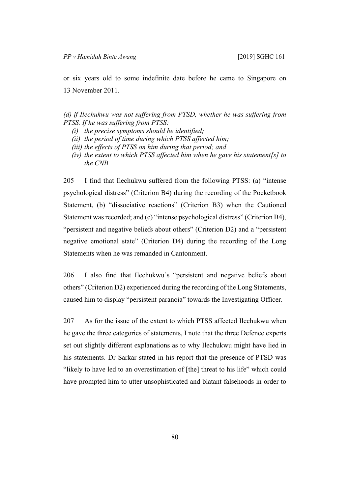or six years old to some indefinite date before he came to Singapore on 13 November 2011.

*(d) if Ilechukwu was not suffering from PTSD, whether he was suffering from PTSS. If he was suffering from PTSS:*

- *(i) the precise symptoms should be identified;*
- *(ii) the period of time during which PTSS affected him;*
- *(iii) the effects of PTSS on him during that period; and*
- *(iv) the extent to which PTSS affected him when he gave his statement[s] to the CNB*

205 I find that Ilechukwu suffered from the following PTSS: (a) "intense psychological distress" (Criterion B4) during the recording of the Pocketbook Statement, (b) "dissociative reactions" (Criterion B3) when the Cautioned Statement was recorded; and (c) "intense psychological distress" (Criterion B4), "persistent and negative beliefs about others" (Criterion D2) and a "persistent negative emotional state" (Criterion D4) during the recording of the Long Statements when he was remanded in Cantonment.

206 I also find that Ilechukwu's "persistent and negative beliefs about others" (Criterion D2) experienced during the recording of the Long Statements, caused him to display "persistent paranoia" towards the Investigating Officer.

207 As for the issue of the extent to which PTSS affected Ilechukwu when he gave the three categories of statements, I note that the three Defence experts set out slightly different explanations as to why Ilechukwu might have lied in his statements. Dr Sarkar stated in his report that the presence of PTSD was "likely to have led to an overestimation of [the] threat to his life" which could have prompted him to utter unsophisticated and blatant falsehoods in order to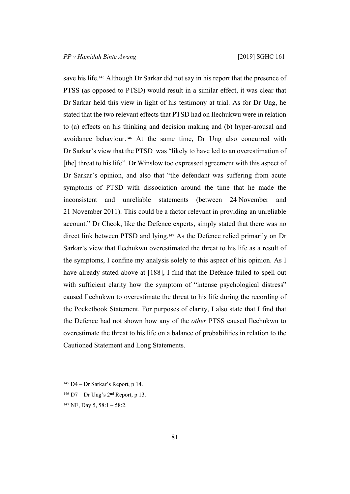save his life.<sup>145</sup> Although Dr Sarkar did not say in his report that the presence of PTSS (as opposed to PTSD) would result in a similar effect, it was clear that Dr Sarkar held this view in light of his testimony at trial. As for Dr Ung, he stated that the two relevant effects that PTSD had on Ilechukwu were in relation to (a) effects on his thinking and decision making and (b) hyper-arousal and avoidance behaviour.146 At the same time, Dr Ung also concurred with Dr Sarkar's view that the PTSD was "likely to have led to an overestimation of [the] threat to his life". Dr Winslow too expressed agreement with this aspect of Dr Sarkar's opinion, and also that "the defendant was suffering from acute symptoms of PTSD with dissociation around the time that he made the inconsistent and unreliable statements (between 24 November and 21 November 2011). This could be a factor relevant in providing an unreliable account." Dr Cheok, like the Defence experts, simply stated that there was no direct link between PTSD and lying.147 As the Defence relied primarily on Dr Sarkar's view that Ilechukwu overestimated the threat to his life as a result of the symptoms, I confine my analysis solely to this aspect of his opinion. As I have already stated above at [188], I find that the Defence failed to spell out with sufficient clarity how the symptom of "intense psychological distress" caused Ilechukwu to overestimate the threat to his life during the recording of the Pocketbook Statement. For purposes of clarity, I also state that I find that the Defence had not shown how any of the *other* PTSS caused Ilechukwu to overestimate the threat to his life on a balance of probabilities in relation to the Cautioned Statement and Long Statements.

 $145$  D4 – Dr Sarkar's Report, p 14.

 $146$  D7 – Dr Ung's  $2<sup>nd</sup>$  Report, p 13.

 $147$  NE, Day 5, 58:1 – 58:2.